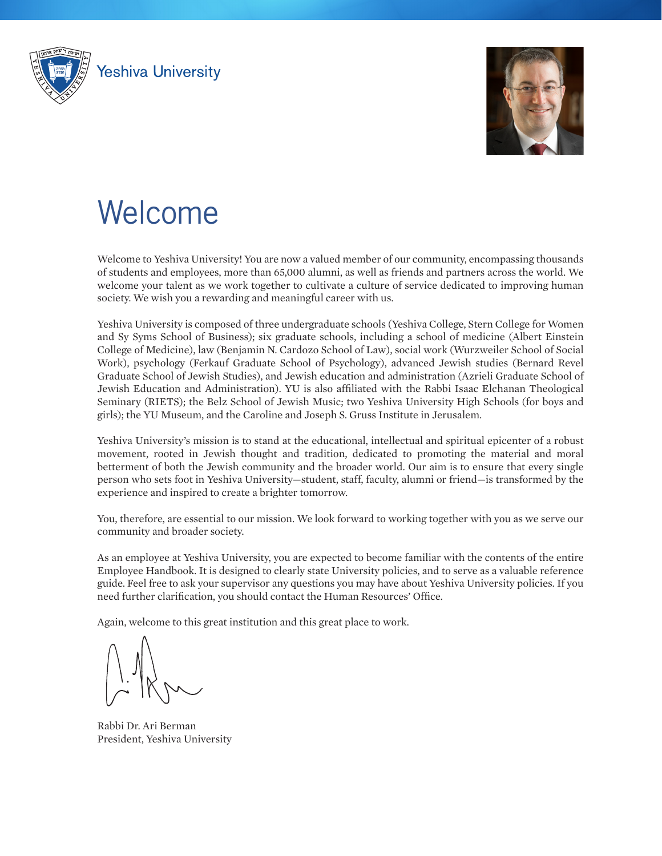<span id="page-0-0"></span>



# Welcome

Welcome to Yeshiva University! You are now a valued member of our community, encompassing thousands of students and employees, more than 65,000 alumni, as well as friends and partners across the world. We welcome your talent as we work together to cultivate a culture of service dedicated to improving human society. We wish you a rewarding and meaningful career with us.

Yeshiva University is composed of three undergraduate schools (Yeshiva College, Stern College for Women and Sy Syms School of Business); six graduate schools, including a school of medicine (Albert Einstein College of Medicine), law (Benjamin N. Cardozo School of Law), social work (Wurzweiler School of Social Work), psychology (Ferkauf Graduate School of Psychology), advanced Jewish studies (Bernard Revel Graduate School of Jewish Studies), and Jewish education and administration (Azrieli Graduate School of Jewish Education and Administration). YU is also affiliated with the Rabbi Isaac Elchanan Theological Seminary (RIETS); the Belz School of Jewish Music; two Yeshiva University High Schools (for boys and girls); the YU Museum, and the Caroline and Joseph S. Gruss Institute in Jerusalem.

Yeshiva University's mission is to stand at the educational, intellectual and spiritual epicenter of a robust movement, rooted in Jewish thought and tradition, dedicated to promoting the material and moral betterment of both the Jewish community and the broader world. Our aim is to ensure that every single person who sets foot in Yeshiva University—student, staff, faculty, alumni or friend—is transformed by the experience and inspired to create a brighter tomorrow.

You, therefore, are essential to our mission. We look forward to working together with you as we serve our community and broader society.

As an employee at Yeshiva University, you are expected to become familiar with the contents of the entire Employee Handbook. It is designed to clearly state University policies, and to serve as a valuable reference guide. Feel free to ask your supervisor any questions you may have about Yeshiva University policies. If you need further clarification, you should contact the Human Resources' Office.

Again, welcome to this great institution and this great place to work.

Rabbi Dr. Ari Berman President, Yeshiva University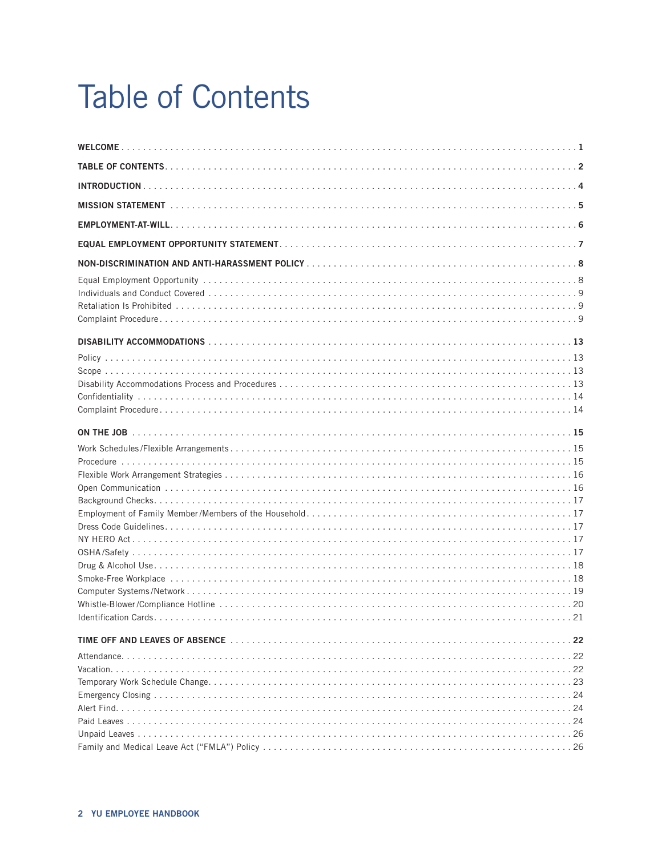# **Table of Contents**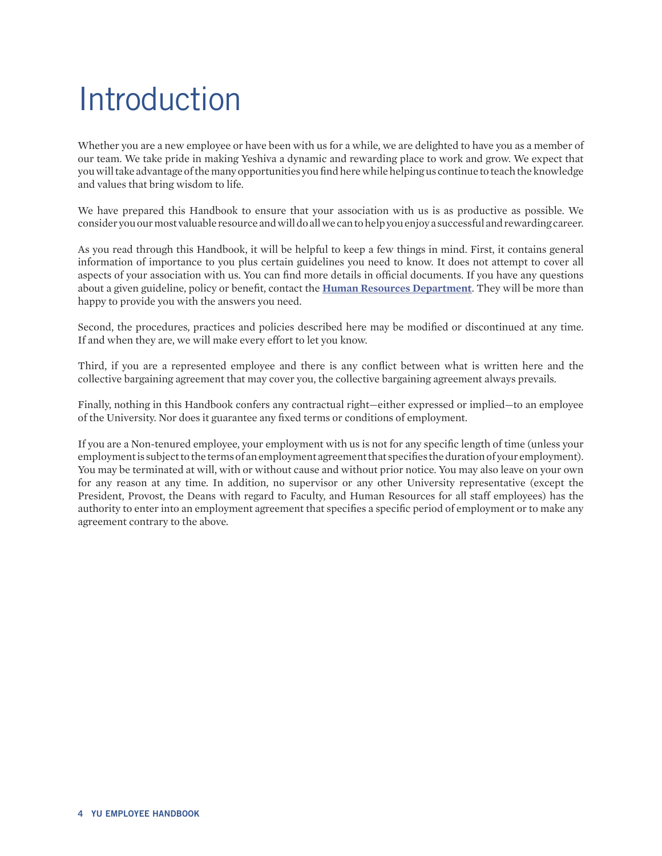# <span id="page-3-0"></span>Introduction

Whether you are a new employee or have been with us for a while, we are delighted to have you as a member of our team. We take pride in making Yeshiva a dynamic and rewarding place to work and grow. We expect that you will take advantage of the many opportunities you find here while helping us continue to teach the knowledge and values that bring wisdom to life.

We have prepared this Handbook to ensure that your association with us is as productive as possible. We consider you our most valuable resource and will do all we can to help you enjoy a successful and rewarding career.

As you read through this Handbook, it will be helpful to keep a few things in mind. First, it contains general information of importance to you plus certain guidelines you need to know. It does not attempt to cover all aspects of your association with us. You can find more details in official documents. If you have any questions about a given guideline, policy or benefit, contact the **[Human Resources Department](http://www.yu.edu/hr/)**. They will be more than happy to provide you with the answers you need.

Second, the procedures, practices and policies described here may be modified or discontinued at any time. If and when they are, we will make every effort to let you know.

Third, if you are a represented employee and there is any conflict between what is written here and the collective bargaining agreement that may cover you, the collective bargaining agreement always prevails.

Finally, nothing in this Handbook confers any contractual right—either expressed or implied—to an employee of the University. Nor does it guarantee any fixed terms or conditions of employment.

If you are a Non-tenured employee, your employment with us is not for any specific length of time (unless your employment is subject to the terms of an employment agreement that specifies the duration of your employment). You may be terminated at will, with or without cause and without prior notice. You may also leave on your own for any reason at any time. In addition, no supervisor or any other University representative (except the President, Provost, the Deans with regard to Faculty, and Human Resources for all staff employees) has the authority to enter into an employment agreement that specifies a specific period of employment or to make any agreement contrary to the above.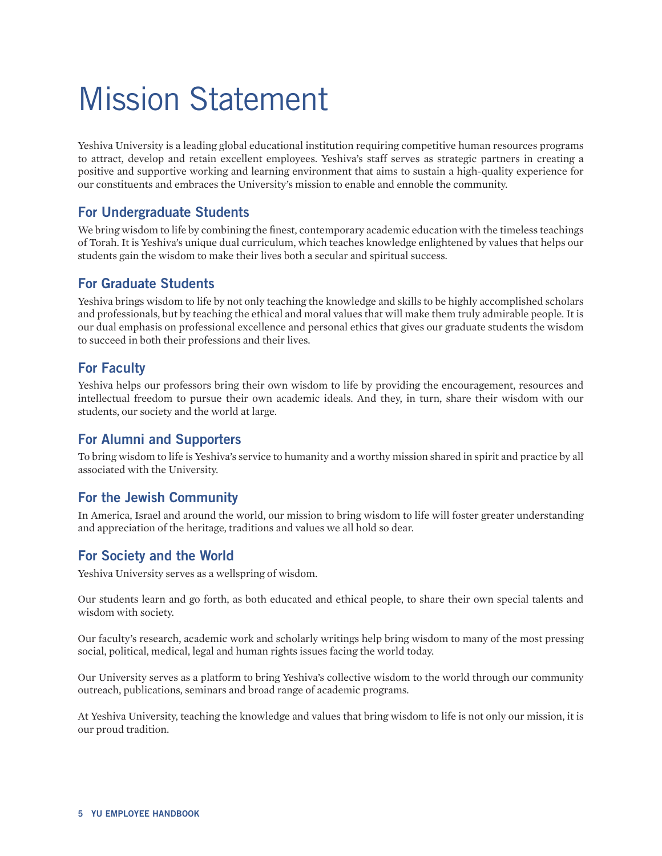# <span id="page-4-0"></span>Mission Statement

Yeshiva University is a leading global educational institution requiring competitive human resources programs to attract, develop and retain excellent employees. Yeshiva's staff serves as strategic partners in creating a positive and supportive working and learning environment that aims to sustain a high-quality experience for our constituents and embraces the University's mission to enable and ennoble the community.

## **For Undergraduate Students**

We bring wisdom to life by combining the finest, contemporary academic education with the timeless teachings of Torah. It is Yeshiva's unique dual curriculum, which teaches knowledge enlightened by values that helps our students gain the wisdom to make their lives both a secular and spiritual success.

## **For Graduate Students**

Yeshiva brings wisdom to life by not only teaching the knowledge and skills to be highly accomplished scholars and professionals, but by teaching the ethical and moral values that will make them truly admirable people. It is our dual emphasis on professional excellence and personal ethics that gives our graduate students the wisdom to succeed in both their professions and their lives.

## **For Faculty**

Yeshiva helps our professors bring their own wisdom to life by providing the encouragement, resources and intellectual freedom to pursue their own academic ideals. And they, in turn, share their wisdom with our students, our society and the world at large.

## **For Alumni and Supporters**

To bring wisdom to life is Yeshiva's service to humanity and a worthy mission shared in spirit and practice by all associated with the University.

## **For the Jewish Community**

In America, Israel and around the world, our mission to bring wisdom to life will foster greater understanding and appreciation of the heritage, traditions and values we all hold so dear.

## **For Society and the World**

Yeshiva University serves as a wellspring of wisdom.

Our students learn and go forth, as both educated and ethical people, to share their own special talents and wisdom with society.

Our faculty's research, academic work and scholarly writings help bring wisdom to many of the most pressing social, political, medical, legal and human rights issues facing the world today.

Our University serves as a platform to bring Yeshiva's collective wisdom to the world through our community outreach, publications, seminars and broad range of academic programs.

At Yeshiva University, teaching the knowledge and values that bring wisdom to life is not only our mission, it is our proud tradition.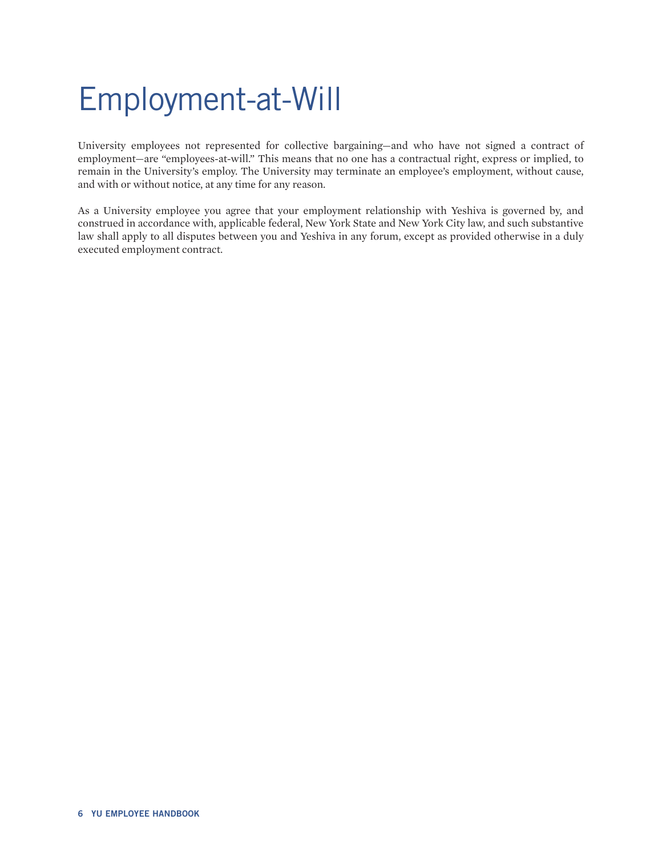# <span id="page-5-0"></span>Employment-at-Will

University employees not represented for collective bargaining—and who have not signed a contract of employment—are "employees-at-will." This means that no one has a contractual right, express or implied, to remain in the University's employ. The University may terminate an employee's employment, without cause, and with or without notice, at any time for any reason.

As a University employee you agree that your employment relationship with Yeshiva is governed by, and construed in accordance with, applicable federal, New York State and New York City law, and such substantive law shall apply to all disputes between you and Yeshiva in any forum, except as provided otherwise in a duly executed employment contract.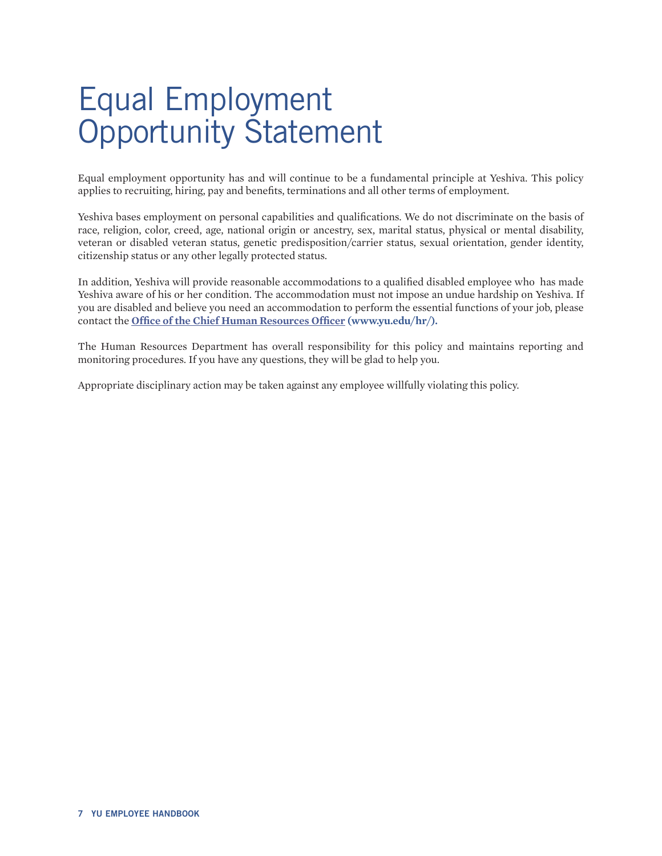# <span id="page-6-0"></span>Equal Employment Opportunity Statement

Equal employment opportunity has and will continue to be a fundamental principle at Yeshiva. This policy applies to recruiting, hiring, pay and benefits, terminations and all other terms of employment.

Yeshiva bases employment on personal capabilities and qualifications. We do not discriminate on the basis of race, religion, color, creed, age, national origin or ancestry, sex, marital status, physical or mental disability, veteran or disabled veteran status, genetic predisposition/carrier status, sexual orientation, gender identity, citizenship status or any other legally protected status.

In addition, Yeshiva will provide reasonable accommodations to a qualified disabled employee who has made Yeshiva aware of his or her condition. The accommodation must not impose an undue hardship on Yeshiva. If you are disabled and believe you need an accommodation to perform the essential functions of your job, please contact the **[Office of the Chief Human Resources Officer](http://www.yu.edu/hr/) (www.yu.edu/hr/).**

The Human Resources Department has overall responsibility for this policy and maintains reporting and monitoring procedures. If you have any questions, they will be glad to help you.

Appropriate disciplinary action may be taken against any employee willfully violating this policy.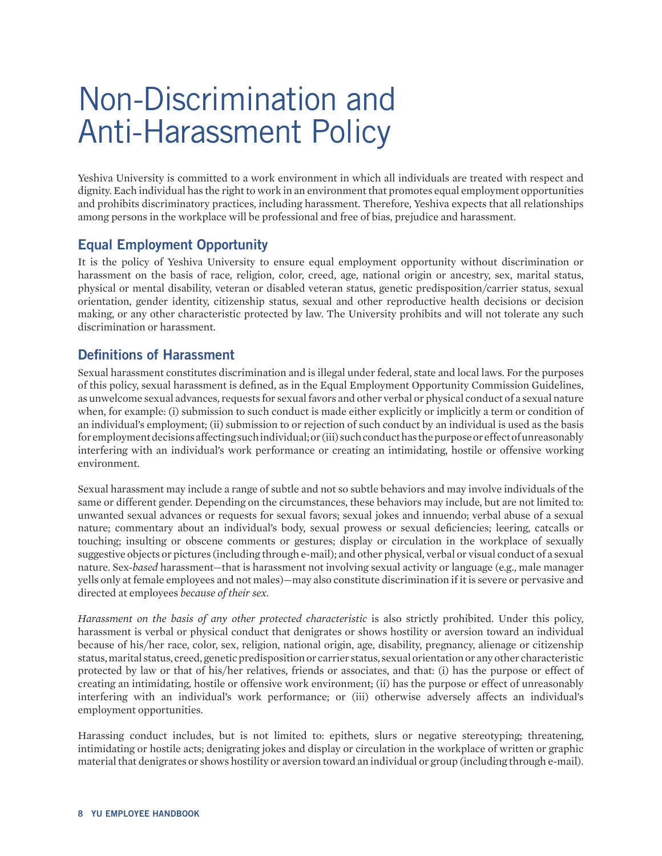# <span id="page-7-0"></span>Non-Discrimination and Anti-Harassment Policy

Yeshiva University is committed to a work environment in which all individuals are treated with respect and dignity. Each individual has the right to work in an environment that promotes equal employment opportunities and prohibits discriminatory practices, including harassment. Therefore, Yeshiva expects that all relationships among persons in the workplace will be professional and free of bias, prejudice and harassment.

## **Equal Employment Opportunity**

It is the policy of Yeshiva University to ensure equal employment opportunity without discrimination or harassment on the basis of race, religion, color, creed, age, national origin or ancestry, sex, marital status, physical or mental disability, veteran or disabled veteran status, genetic predisposition/carrier status, sexual orientation, gender identity, citizenship status, sexual and other reproductive health decisions or decision making, or any other characteristic protected by law. The University prohibits and will not tolerate any such discrimination or harassment.

## **Definitions of Harassment**

Sexual harassment constitutes discrimination and is illegal under federal, state and local laws. For the purposes of this policy, sexual harassment is defined, as in the Equal Employment Opportunity Commission Guidelines, as unwelcome sexual advances, requests for sexual favors and other verbal or physical conduct of a sexual nature when, for example: (i) submission to such conduct is made either explicitly or implicitly a term or condition of an individual's employment; (ii) submission to or rejection of such conduct by an individual is used as the basis for employment decisions affecting such individual; or (iii) such conduct has the purpose or effect of unreasonably interfering with an individual's work performance or creating an intimidating, hostile or offensive working environment.

Sexual harassment may include a range of subtle and not so subtle behaviors and may involve individuals of the same or different gender. Depending on the circumstances, these behaviors may include, but are not limited to: unwanted sexual advances or requests for sexual favors; sexual jokes and innuendo; verbal abuse of a sexual nature; commentary about an individual's body, sexual prowess or sexual deficiencies; leering, catcalls or touching; insulting or obscene comments or gestures; display or circulation in the workplace of sexually suggestive objects or pictures (including through e-mail); and other physical, verbal or visual conduct of a sexual nature. Sex-*based* harassment—that is harassment not involving sexual activity or language (e.g., male manager yells only at female employees and not males)—may also constitute discrimination if it is severe or pervasive and directed at employees *because of their sex.*

*Harassment on the basis of any other protected characteristic* is also strictly prohibited. Under this policy, harassment is verbal or physical conduct that denigrates or shows hostility or aversion toward an individual because of his/her race, color, sex, religion, national origin, age, disability, pregnancy, alienage or citizenship status, marital status, creed, genetic predisposition or carrier status, sexual orientation or any other characteristic protected by law or that of his/her relatives, friends or associates, and that: (i) has the purpose or effect of creating an intimidating, hostile or offensive work environment; (ii) has the purpose or effect of unreasonably interfering with an individual's work performance; or (iii) otherwise adversely affects an individual's employment opportunities.

Harassing conduct includes, but is not limited to: epithets, slurs or negative stereotyping; threatening, intimidating or hostile acts; denigrating jokes and display or circulation in the workplace of written or graphic material that denigrates or shows hostility or aversion toward an individual or group (including through e-mail).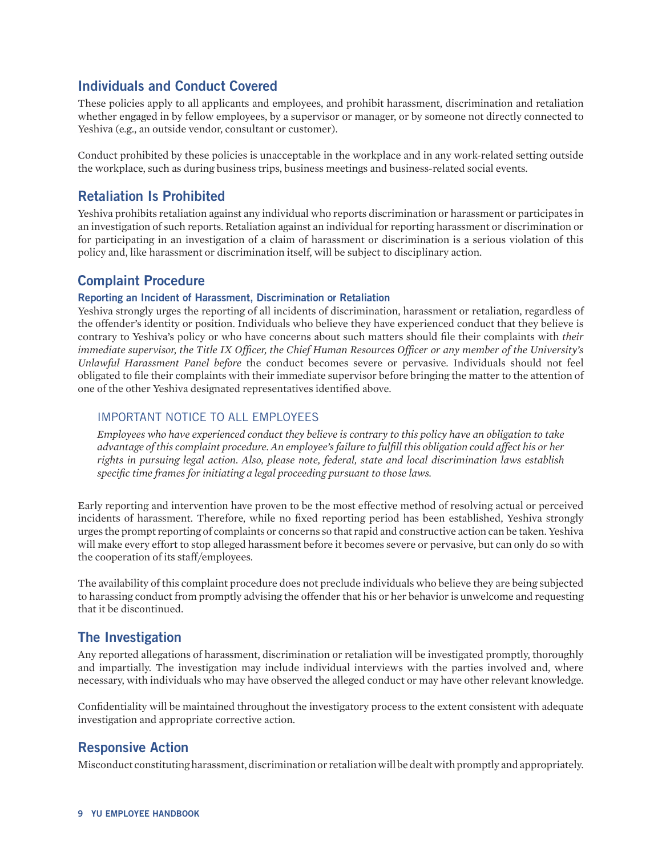## <span id="page-8-0"></span>**Individuals and Conduct Covered**

These policies apply to all applicants and employees, and prohibit harassment, discrimination and retaliation whether engaged in by fellow employees, by a supervisor or manager, or by someone not directly connected to Yeshiva (e.g., an outside vendor, consultant or customer).

Conduct prohibited by these policies is unacceptable in the workplace and in any work-related setting outside the workplace, such as during business trips, business meetings and business-related social events.

## **Retaliation Is Prohibited**

Yeshiva prohibits retaliation against any individual who reports discrimination or harassment or participates in an investigation of such reports. Retaliation against an individual for reporting harassment or discrimination or for participating in an investigation of a claim of harassment or discrimination is a serious violation of this policy and, like harassment or discrimination itself, will be subject to disciplinary action.

## **Complaint Procedure**

#### **Reporting an Incident of Harassment, Discrimination or Retaliation**

Yeshiva strongly urges the reporting of all incidents of discrimination, harassment or retaliation, regardless of the offender's identity or position. Individuals who believe they have experienced conduct that they believe is contrary to Yeshiva's policy or who have concerns about such matters should file their complaints with *their immediate supervisor, the Title IX Officer, the Chief Human Resources Officer or any member of the University's Unlawful Harassment Panel before* the conduct becomes severe or pervasive. Individuals should not feel obligated to file their complaints with their immediate supervisor before bringing the matter to the attention of one of the other Yeshiva designated representatives identified above.

### IMPORTANT NOTICE TO ALL EMPLOYEES

*Employees who have experienced conduct they believe is contrary to this policy have an obligation to take advantage of this complaint procedure. An employee's failure to fulfill this obligation could affect his or her rights in pursuing legal action. Also, please note, federal, state and local discrimination laws establish specific time frames for initiating a legal proceeding pursuant to those laws.*

Early reporting and intervention have proven to be the most effective method of resolving actual or perceived incidents of harassment. Therefore, while no fixed reporting period has been established, Yeshiva strongly urges the prompt reporting of complaints or concerns so that rapid and constructive action can be taken. Yeshiva will make every effort to stop alleged harassment before it becomes severe or pervasive, but can only do so with the cooperation of its staff/employees.

The availability of this complaint procedure does not preclude individuals who believe they are being subjected to harassing conduct from promptly advising the offender that his or her behavior is unwelcome and requesting that it be discontinued.

## **The Investigation**

Any reported allegations of harassment, discrimination or retaliation will be investigated promptly, thoroughly and impartially. The investigation may include individual interviews with the parties involved and, where necessary, with individuals who may have observed the alleged conduct or may have other relevant knowledge.

Confidentiality will be maintained throughout the investigatory process to the extent consistent with adequate investigation and appropriate corrective action.

## **Responsive Action**

Misconduct constituting harassment, discrimination or retaliation will be dealt with promptly and appropriately.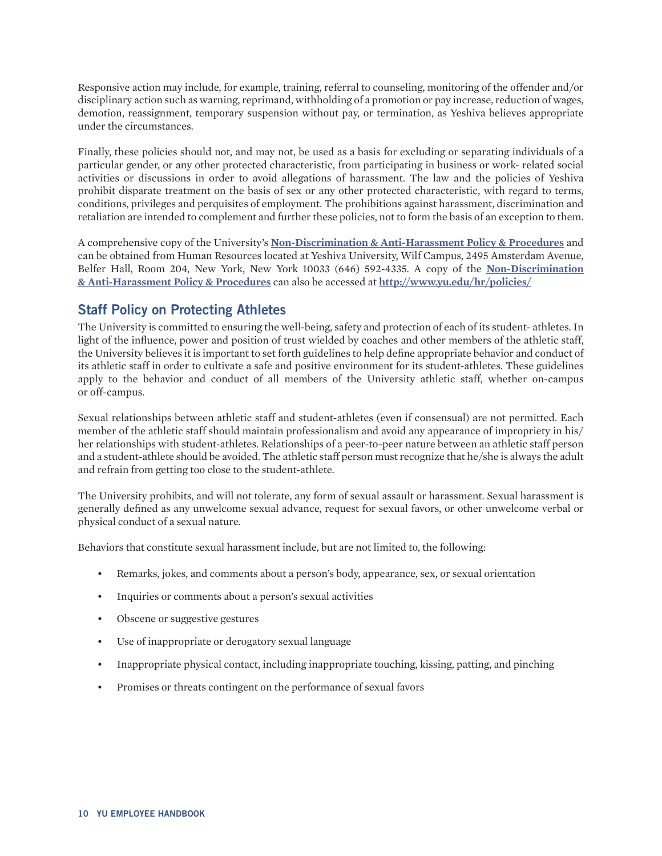Responsive action may include, for example, training, referral to counseling, monitoring of the offender and/or disciplinary action such as warning, reprimand, withholding of a promotion or pay increase, reduction of wages, demotion, reassignment, temporary suspension without pay, or termination, as Yeshiva believes appropriate under the circumstances.

Finally, these policies should not, and may not, be used as a basis for excluding or separating individuals of a particular gender, or any other protected characteristic, from participating in business or work- related social activities or discussions in order to avoid allegations of harassment. The law and the policies of Yeshiva prohibit disparate treatment on the basis of sex or any other protected characteristic, with regard to terms, conditions, privileges and perquisites of employment. The prohibitions against harassment, discrimination and retaliation are intended to complement and further these policies, not to form the basis of an exception to them.

A comprehensive copy of the University's **[Non-Discrimination & Anti-Harassment Policy & Procedures](http://www.yu.edu/hr/policies/)** and can be obtained from Human Resources located at Yeshiva University, Wilf Campus, 2495 Amsterdam Avenue, Belfer Hall, Room 204, New York, New York 10033 (646) 592-4335. A copy of the **[Non-Discrimination](http://www.yu.edu/hr/policies/) [& Anti-Harassment Policy & Procedures](http://www.yu.edu/hr/policies/)** can also be accessed at **<http://www.yu.edu/hr/policies/>**

## **Staff Policy on Protecting Athletes**

The University is committed to ensuring the well-being, safety and protection of each of its student- athletes. In light of the influence, power and position of trust wielded by coaches and other members of the athletic staff, the University believes it is important to set forth guidelines to help define appropriate behavior and conduct of its athletic staff in order to cultivate a safe and positive environment for its student-athletes. These guidelines apply to the behavior and conduct of all members of the University athletic staff, whether on-campus or off-campus.

Sexual relationships between athletic staff and student-athletes (even if consensual) are not permitted. Each member of the athletic staff should maintain professionalism and avoid any appearance of impropriety in his/ her relationships with student-athletes. Relationships of a peer-to-peer nature between an athletic staff person and a student-athlete should be avoided. The athletic staff person must recognize that he/she is always the adult and refrain from getting too close to the student-athlete.

The University prohibits, and will not tolerate, any form of sexual assault or harassment. Sexual harassment is generally defined as any unwelcome sexual advance, request for sexual favors, or other unwelcome verbal or physical conduct of a sexual nature.

Behaviors that constitute sexual harassment include, but are not limited to, the following:

- Remarks, jokes, and comments about a person's body, appearance, sex, or sexual orientation
- Inquiries or comments about a person's sexual activities
- Obscene or suggestive gestures
- Use of inappropriate or derogatory sexual language
- Inappropriate physical contact, including inappropriate touching, kissing, patting, and pinching
- Promises or threats contingent on the performance of sexual favors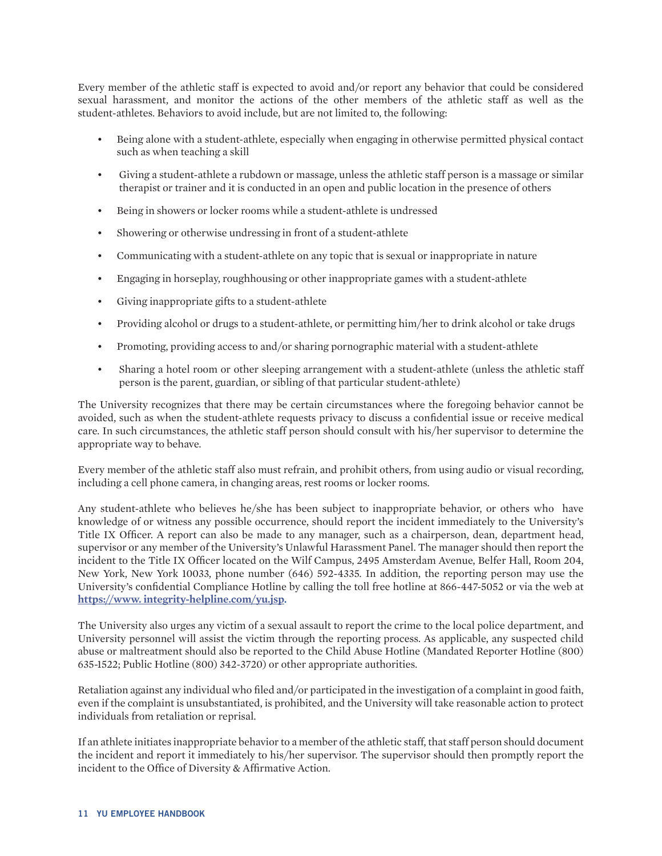Every member of the athletic staff is expected to avoid and/or report any behavior that could be considered sexual harassment, and monitor the actions of the other members of the athletic staff as well as the student-athletes. Behaviors to avoid include, but are not limited to, the following:

- Being alone with a student-athlete, especially when engaging in otherwise permitted physical contact such as when teaching a skill
- Giving a student-athlete a rubdown or massage, unless the athletic staff person is a massage or similar therapist or trainer and it is conducted in an open and public location in the presence of others
- Being in showers or locker rooms while a student-athlete is undressed
- Showering or otherwise undressing in front of a student-athlete
- Communicating with a student-athlete on any topic that is sexual or inappropriate in nature
- Engaging in horseplay, roughhousing or other inappropriate games with a student-athlete
- Giving inappropriate gifts to a student-athlete
- Providing alcohol or drugs to a student-athlete, or permitting him/her to drink alcohol or take drugs
- Promoting, providing access to and/or sharing pornographic material with a student-athlete
- Sharing a hotel room or other sleeping arrangement with a student-athlete (unless the athletic staff person is the parent, guardian, or sibling of that particular student-athlete)

The University recognizes that there may be certain circumstances where the foregoing behavior cannot be avoided, such as when the student-athlete requests privacy to discuss a confidential issue or receive medical care. In such circumstances, the athletic staff person should consult with his/her supervisor to determine the appropriate way to behave.

Every member of the athletic staff also must refrain, and prohibit others, from using audio or visual recording, including a cell phone camera, in changing areas, rest rooms or locker rooms.

Any student-athlete who believes he/she has been subject to inappropriate behavior, or others who have knowledge of or witness any possible occurrence, should report the incident immediately to the University's Title IX Officer. A report can also be made to any manager, such as a chairperson, dean, department head, supervisor or any member of the University's Unlawful Harassment Panel. The manager should then report the incident to the Title IX Officer located on the Wilf Campus, 2495 Amsterdam Avenue, Belfer Hall, Room 204, New York, New York 10033, phone number (646) 592-4335. In addition, the reporting person may use the University's confidential Compliance Hotline by calling the toll free hotline at 866-447-5052 or via the web at **[https://www. integrity-helpline.com/yu.jsp.](https://www.integrity-helpline.com/yu.jsp)**

The University also urges any victim of a sexual assault to report the crime to the local police department, and University personnel will assist the victim through the reporting process. As applicable, any suspected child abuse or maltreatment should also be reported to the Child Abuse Hotline (Mandated Reporter Hotline (800) 635-1522; Public Hotline (800) 342-3720) or other appropriate authorities.

Retaliation against any individual who filed and/or participated in the investigation of a complaint in good faith, even if the complaint is unsubstantiated, is prohibited, and the University will take reasonable action to protect individuals from retaliation or reprisal.

If an athlete initiates inappropriate behavior to a member of the athletic staff, that staff person should document the incident and report it immediately to his/her supervisor. The supervisor should then promptly report the incident to the Office of Diversity & Affirmative Action.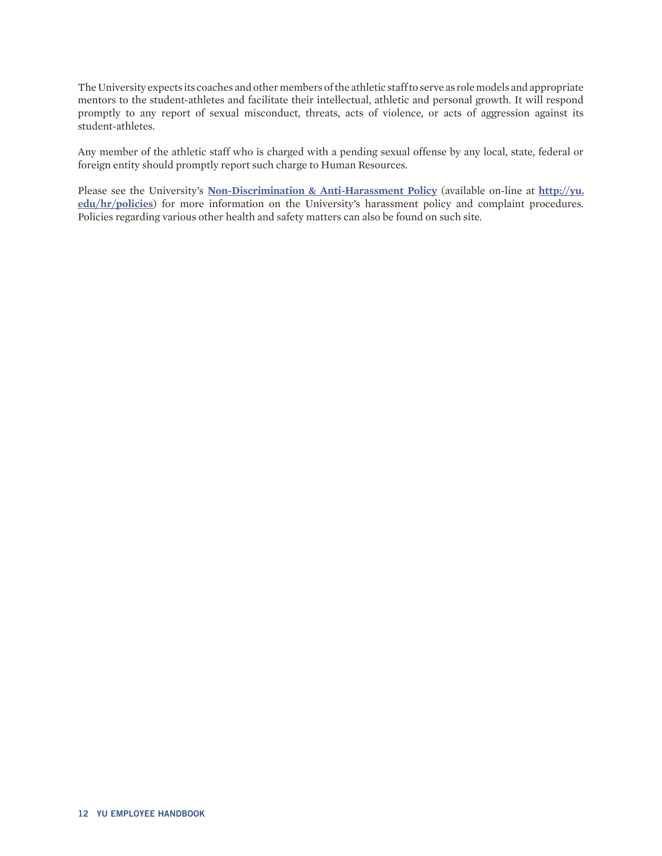The University expects its coaches and other members of the athletic staff to serve as role models and appropriate mentors to the student-athletes and facilitate their intellectual, athletic and personal growth. It will respond promptly to any report of sexual misconduct, threats, acts of violence, or acts of aggression against its student-athletes.

Any member of the athletic staff who is charged with a pending sexual offense by any local, state, federal or foreign entity should promptly report such charge to Human Resources.

Please see the University's **[Non-Discrimination & Anti-Harassment Policy](https://www.yu.edu/sites/default/files/inline-files/Non-DiscriminationandAnti-HarassmentPolicyTIX%20Policy12.31_0.pdf)** (available on-line at **[http://yu.](http://www.yu.edu/hr/policies/) [edu/hr/policies](http://www.yu.edu/hr/policies/)**) for more information on the University's harassment policy and complaint procedures. Policies regarding various other health and safety matters can also be found on such site.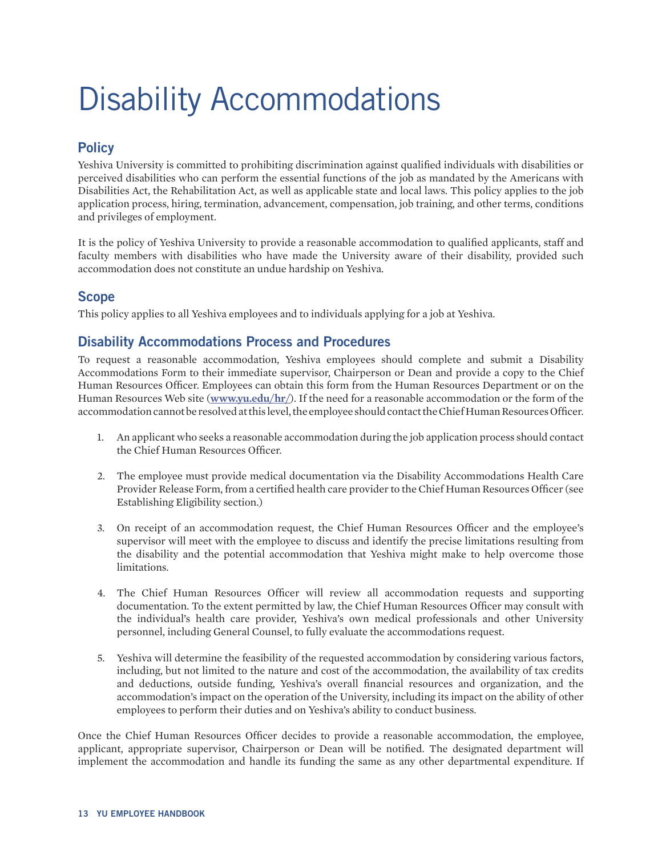# <span id="page-12-0"></span>Disability Accommodations

# **Policy**

Yeshiva University is committed to prohibiting discrimination against qualified individuals with disabilities or perceived disabilities who can perform the essential functions of the job as mandated by the Americans with Disabilities Act, the Rehabilitation Act, as well as applicable state and local laws. This policy applies to the job application process, hiring, termination, advancement, compensation, job training, and other terms, conditions and privileges of employment.

It is the policy of Yeshiva University to provide a reasonable accommodation to qualified applicants, staff and faculty members with disabilities who have made the University aware of their disability, provided such accommodation does not constitute an undue hardship on Yeshiva.

## **Scope**

This policy applies to all Yeshiva employees and to individuals applying for a job at Yeshiva.

## **Disability Accommodations Process and Procedures**

To request a reasonable accommodation, Yeshiva employees should complete and submit a Disability Accommodations Form to their immediate supervisor, Chairperson or Dean and provide a copy to the Chief Human Resources Officer. Employees can obtain this form from the Human Resources Department or on the Human Resources Web site (**[www.yu.edu/hr/](http://www.yu.edu/hr/)**). If the need for a reasonable accommodation or the form of the accommodation cannot be resolved at this level, the employee should contact the Chief Human Resources Officer.

- 1. An applicant who seeks a reasonable accommodation during the job application process should contact the Chief Human Resources Officer.
- 2. The employee must provide medical documentation via the Disability Accommodations Health Care Provider Release Form, from a certified health care provider to the Chief Human Resources Officer (see Establishing Eligibility section.)
- 3. On receipt of an accommodation request, the Chief Human Resources Officer and the employee's supervisor will meet with the employee to discuss and identify the precise limitations resulting from the disability and the potential accommodation that Yeshiva might make to help overcome those limitations.
- 4. The Chief Human Resources Officer will review all accommodation requests and supporting documentation. To the extent permitted by law, the Chief Human Resources Officer may consult with the individual's health care provider, Yeshiva's own medical professionals and other University personnel, including General Counsel, to fully evaluate the accommodations request.
- 5. Yeshiva will determine the feasibility of the requested accommodation by considering various factors, including, but not limited to the nature and cost of the accommodation, the availability of tax credits and deductions, outside funding, Yeshiva's overall financial resources and organization, and the accommodation's impact on the operation of the University, including its impact on the ability of other employees to perform their duties and on Yeshiva's ability to conduct business.

Once the Chief Human Resources Officer decides to provide a reasonable accommodation, the employee, applicant, appropriate supervisor, Chairperson or Dean will be notified. The designated department will implement the accommodation and handle its funding the same as any other departmental expenditure. If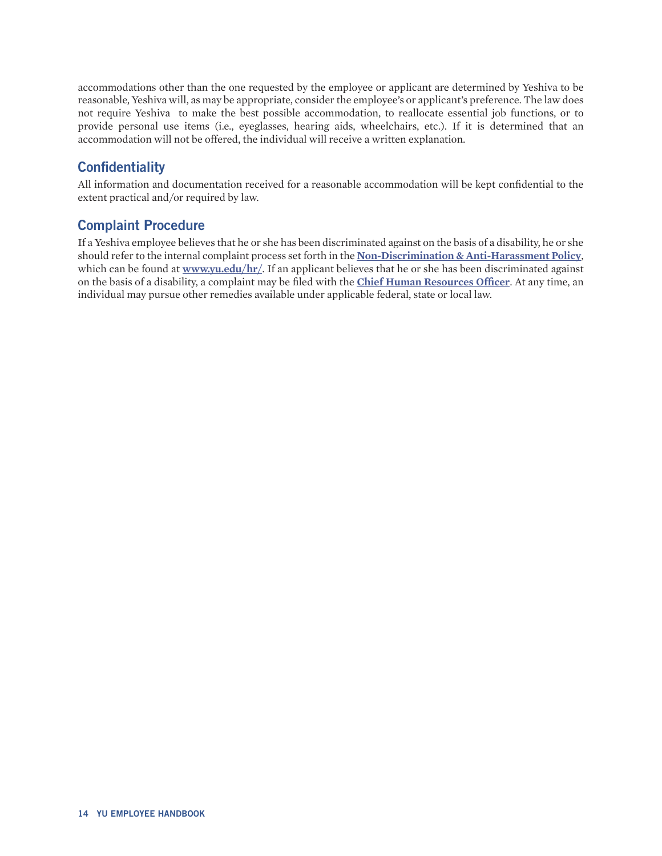<span id="page-13-0"></span>accommodations other than the one requested by the employee or applicant are determined by Yeshiva to be reasonable, Yeshiva will, as may be appropriate, consider the employee's or applicant's preference. The law does not require Yeshiva to make the best possible accommodation, to reallocate essential job functions, or to provide personal use items (i.e., eyeglasses, hearing aids, wheelchairs, etc.). If it is determined that an accommodation will not be offered, the individual will receive a written explanation.

## **Confidentiality**

All information and documentation received for a reasonable accommodation will be kept confidential to the extent practical and/or required by law.

## **Complaint Procedure**

If a Yeshiva employee believes that he or she has been discriminated against on the basis of a disability, he or she should refer to the internal complaint process set forth in the **[Non-Discrimination & Anti-Harassment Policy](https://www.yu.edu/sites/default/files/inline-files/Non-DiscriminationandAnti-HarassmentPolicyTIX%20Policy12.31_0.pdf)**, which can be found at [www.yu.edu/hr/](http://www.yu.edu/hr/). If an applicant believes that he or she has been discriminated against on the basis of a disability, a complaint may be filed with the **[Chief Human Resources Officer](https://www.yu.edu/hr/contact)**. At any time, an individual may pursue other remedies available under applicable federal, state or local law.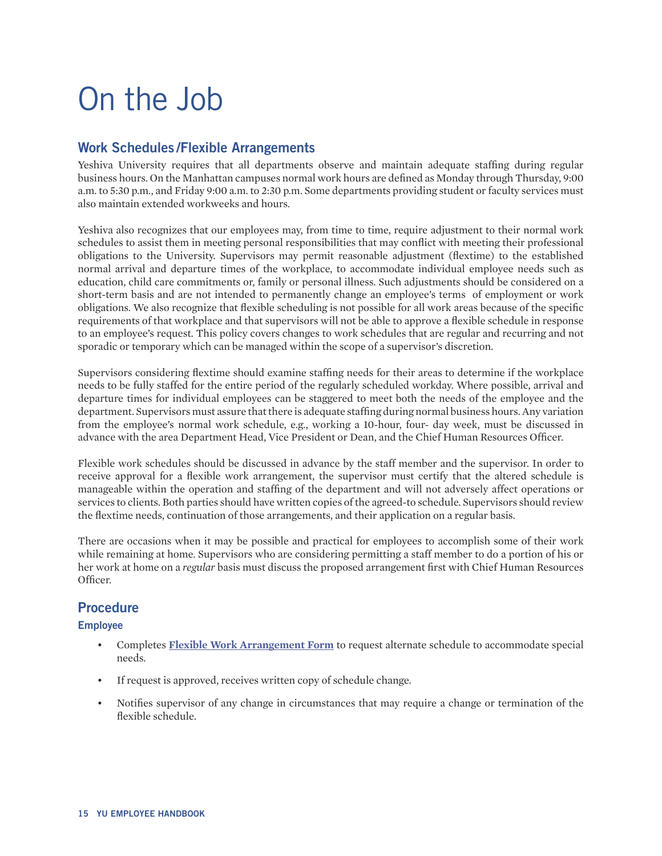# <span id="page-14-0"></span>On the Job

## **Work Schedules /Flexible Arrangements**

Yeshiva University requires that all departments observe and maintain adequate staffing during regular business hours. On the Manhattan campuses normal work hours are defined as Monday through Thursday, 9:00 a.m. to 5:30 p.m., and Friday 9:00 a.m. to 2:30 p.m. Some departments providing student or faculty services must also maintain extended workweeks and hours.

Yeshiva also recognizes that our employees may, from time to time, require adjustment to their normal work schedules to assist them in meeting personal responsibilities that may conflict with meeting their professional obligations to the University. Supervisors may permit reasonable adjustment (flextime) to the established normal arrival and departure times of the workplace, to accommodate individual employee needs such as education, child care commitments or, family or personal illness. Such adjustments should be considered on a short-term basis and are not intended to permanently change an employee's terms of employment or work obligations. We also recognize that flexible scheduling is not possible for all work areas because of the specific requirements of that workplace and that supervisors will not be able to approve a flexible schedule in response to an employee's request. This policy covers changes to work schedules that are regular and recurring and not sporadic or temporary which can be managed within the scope of a supervisor's discretion.

Supervisors considering flextime should examine staffing needs for their areas to determine if the workplace needs to be fully staffed for the entire period of the regularly scheduled workday. Where possible, arrival and departure times for individual employees can be staggered to meet both the needs of the employee and the department. Supervisors must assure that there is adequate staffing during normal business hours. Any variation from the employee's normal work schedule, e.g., working a 10-hour, four- day week, must be discussed in advance with the area Department Head, Vice President or Dean, and the Chief Human Resources Officer.

Flexible work schedules should be discussed in advance by the staff member and the supervisor. In order to receive approval for a flexible work arrangement, the supervisor must certify that the altered schedule is manageable within the operation and staffing of the department and will not adversely affect operations or services to clients. Both parties should have written copies of the agreed-to schedule. Supervisors should review the flextime needs, continuation of those arrangements, and their application on a regular basis.

There are occasions when it may be possible and practical for employees to accomplish some of their work while remaining at home. Supervisors who are considering permitting a staff member to do a portion of his or her work at home on a *regular* basis must discuss the proposed arrangement first with Chief Human Resources Officer.

## **Procedure**

#### **Employee**

- Completes **[Flexible Work Arrangement Form](http://www.yu.edu/sites/default/files/legacy/uploadedFiles/Offices_and_Services/HR/Working_at_YU/FlexibleWorkForm.pdf)** to request alternate schedule to accommodate special needs.
- If request is approved, receives written copy of schedule change.
- Notifies supervisor of any change in circumstances that may require a change or termination of the flexible schedule.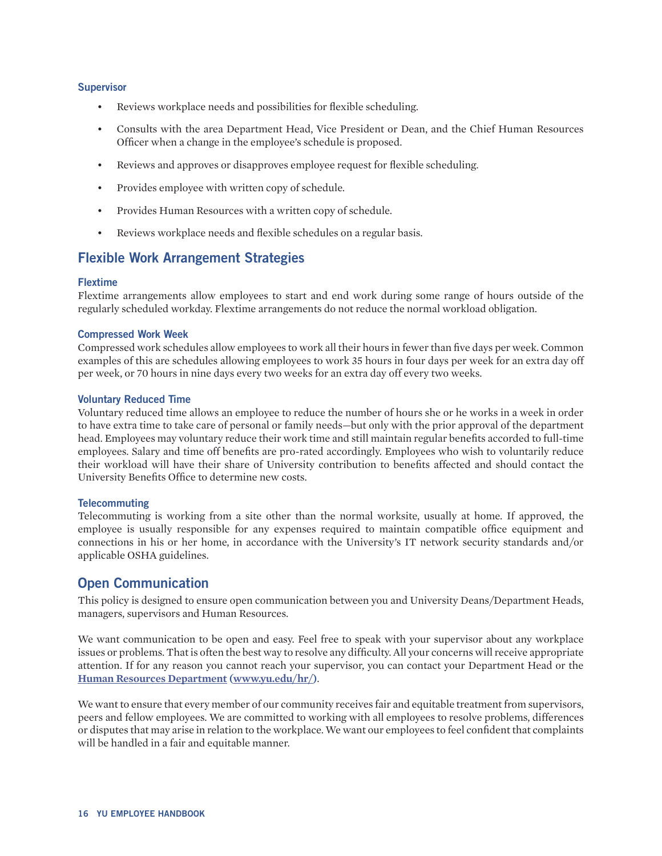#### <span id="page-15-0"></span>**Supervisor**

- Reviews workplace needs and possibilities for flexible scheduling.
- Consults with the area Department Head, Vice President or Dean, and the Chief Human Resources Officer when a change in the employee's schedule is proposed.
- Reviews and approves or disapproves employee request for flexible scheduling.
- Provides employee with written copy of schedule.
- Provides Human Resources with a written copy of schedule.
- Reviews workplace needs and flexible schedules on a regular basis.

## **Flexible Work Arrangement Strategies**

#### **Flextime**

Flextime arrangements allow employees to start and end work during some range of hours outside of the regularly scheduled workday. Flextime arrangements do not reduce the normal workload obligation.

#### **Compressed Work Week**

Compressed work schedules allow employees to work all their hours in fewer than five days per week. Common examples of this are schedules allowing employees to work 35 hours in four days per week for an extra day off per week, or 70 hours in nine days every two weeks for an extra day off every two weeks.

#### **Voluntary Reduced Time**

Voluntary reduced time allows an employee to reduce the number of hours she or he works in a week in order to have extra time to take care of personal or family needs—but only with the prior approval of the department head. Employees may voluntary reduce their work time and still maintain regular benefits accorded to full-time employees. Salary and time off benefits are pro-rated accordingly. Employees who wish to voluntarily reduce their workload will have their share of University contribution to benefits affected and should contact the University Benefits Office to determine new costs.

#### **Telecommuting**

Telecommuting is working from a site other than the normal worksite, usually at home. If approved, the employee is usually responsible for any expenses required to maintain compatible office equipment and connections in his or her home, in accordance with the University's IT network security standards and/or applicable OSHA guidelines.

## **Open Communication**

This policy is designed to ensure open communication between you and University Deans/Department Heads, managers, supervisors and Human Resources.

We want communication to be open and easy. Feel free to speak with your supervisor about any workplace issues or problems. That is often the best way to resolve any difficulty. All your concerns will receive appropriate attention. If for any reason you cannot reach your supervisor, you can contact your Department Head or the **[Human Resources Department](http://www.yu.edu/hr/) (www.yu.edu/hr/)**.

We want to ensure that every member of our community receives fair and equitable treatment from supervisors, peers and fellow employees. We are committed to working with all employees to resolve problems, differences or disputes that may arise in relation to the workplace. We want our employees to feel confident that complaints will be handled in a fair and equitable manner.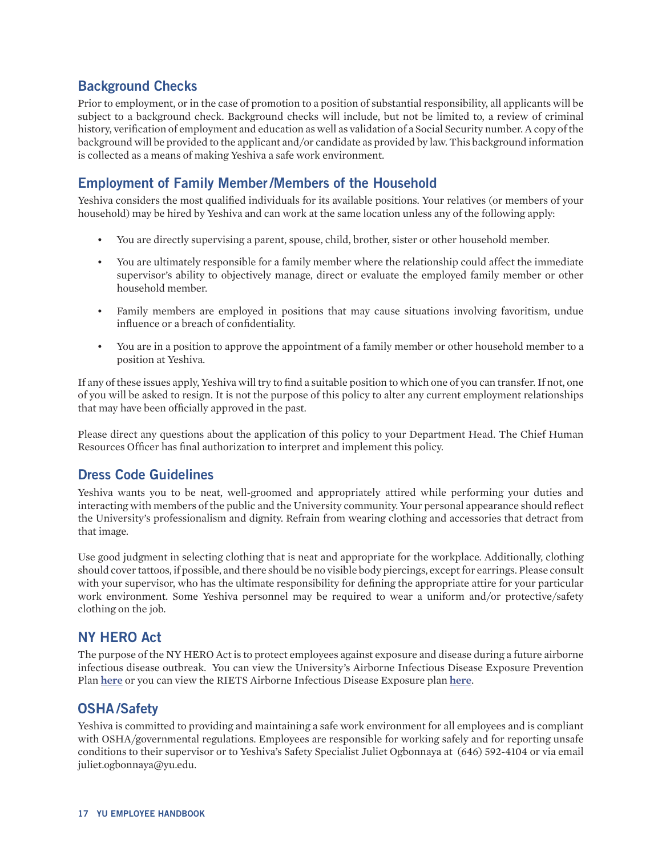## <span id="page-16-0"></span>**Background Checks**

Prior to employment, or in the case of promotion to a position of substantial responsibility, all applicants will be subject to a background check. Background checks will include, but not be limited to, a review of criminal history, verification of employment and education as well as validation of a Social Security number. A copy of the background will be provided to the applicant and/or candidate as provided by law. This background information is collected as a means of making Yeshiva a safe work environment.

## **Employment of Family Member/Members of the Household**

Yeshiva considers the most qualified individuals for its available positions. Your relatives (or members of your household) may be hired by Yeshiva and can work at the same location unless any of the following apply:

- You are directly supervising a parent, spouse, child, brother, sister or other household member.
- You are ultimately responsible for a family member where the relationship could affect the immediate supervisor's ability to objectively manage, direct or evaluate the employed family member or other household member.
- Family members are employed in positions that may cause situations involving favoritism, undue influence or a breach of confidentiality.
- You are in a position to approve the appointment of a family member or other household member to a position at Yeshiva.

If any of these issues apply, Yeshiva will try to find a suitable position to which one of you can transfer. If not, one of you will be asked to resign. It is not the purpose of this policy to alter any current employment relationships that may have been officially approved in the past.

Please direct any questions about the application of this policy to your Department Head. The Chief Human Resources Officer has final authorization to interpret and implement this policy.

## **Dress Code Guidelines**

Yeshiva wants you to be neat, well-groomed and appropriately attired while performing your duties and interacting with members of the public and the University community. Your personal appearance should reflect the University's professionalism and dignity. Refrain from wearing clothing and accessories that detract from that image.

Use good judgment in selecting clothing that is neat and appropriate for the workplace. Additionally, clothing should cover tattoos, if possible, and there should be no visible body piercings, except for earrings. Please consult with your supervisor, who has the ultimate responsibility for defining the appropriate attire for your particular work environment. Some Yeshiva personnel may be required to wear a uniform and/or protective/safety clothing on the job.

## **NY HERO Act**

The purpose of the NY HERO Act is to protect employees against exposure and disease during a future airborne infectious disease outbreak. You can view the University's Airborne Infectious Disease Exposure Prevention Plan **[here](https://www.yu.edu/sites/default/files/inline-files/Yeshiva%20University%20-%20Airborne%20Infectious%20Disease%20Exposure%20Prevention%20Plan.pdf)** or you can view the RIETS Airborne Infectious Disease Exposure plan **[here](https://www.yu.edu/sites/default/files/inline-files/RIETS%20-%20Airborne%20Infectious%20Disease%20Exposure%20Prevention%20Plan.pdf)**.

## **OSHA /Safety**

Yeshiva is committed to providing and maintaining a safe work environment for all employees and is compliant with OSHA/governmental regulations. Employees are responsible for working safely and for reporting unsafe conditions to their supervisor or to Yeshiva's Safety Specialist Juliet Ogbonnaya at (646) 592-4104 or via email juliet.ogbonnaya@yu.edu.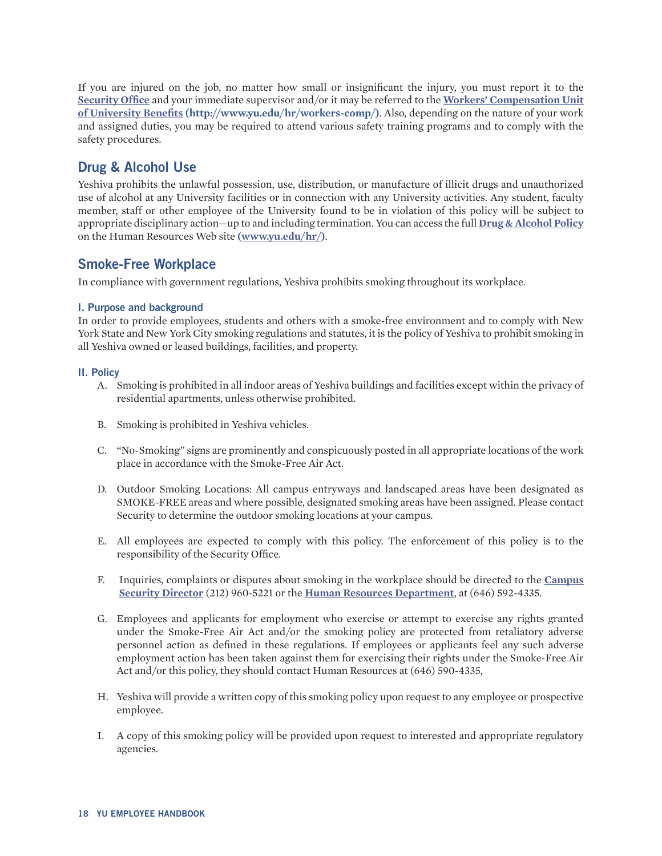<span id="page-17-0"></span>If you are injured on the job, no matter how small or insignificant the injury, you must report it to the **[Security Office](http://www.yu.edu/safety-security/)** and your immediate supervisor and/or it may be referred to the **[Workers' Compensation Unit](http://www.yu.edu/hr/workers-comp/)  [of University Benefits](http://www.yu.edu/hr/workers-comp/) (http://www.yu.edu/hr/workers-comp/)**. Also, depending on the nature of your work and assigned duties, you may be required to attend various safety training programs and to comply with the safety procedures.

## **Drug & Alcohol Use**

Yeshiva prohibits the unlawful possession, use, distribution, or manufacture of illicit drugs and unauthorized use of alcohol at any University facilities or in connection with any University activities. Any student, faculty member, staff or other employee of the University found to be in violation of this policy will be subject to appropriate disciplinary action—up to and including termination. You can access the full **[Drug & Alcohol Policy](https://www.yu.edu/sites/default/files/legacy//uploadedFiles/Offices_and_Services/HR/Working_at_YU/policies/DrugPolicy9232014.pdf)** on the Human Resources Web site **[\(www.yu.edu/hr/](http://www.yu.edu/hr/))**.

## **Smoke-Free Workplace**

In compliance with government regulations, Yeshiva prohibits smoking throughout its workplace.

#### **I. Purpose and background**

In order to provide employees, students and others with a smoke-free environment and to comply with New York State and New York City smoking regulations and statutes, it is the policy of Yeshiva to prohibit smoking in all Yeshiva owned or leased buildings, facilities, and property.

#### **II. Policy**

- A. Smoking is prohibited in all indoor areas of Yeshiva buildings and facilities except within the privacy of residential apartments, unless otherwise prohibited.
- B. Smoking is prohibited in Yeshiva vehicles.
- C. "No-Smoking" signs are prominently and conspicuously posted in all appropriate locations of the work place in accordance with the Smoke-Free Air Act.
- D. Outdoor Smoking Locations: All campus entryways and landscaped areas have been designated as SMOKE-FREE areas and where possible, designated smoking areas have been assigned. Please contact Security to determine the outdoor smoking locations at your campus.
- E. All employees are expected to comply with this policy. The enforcement of this policy is to the responsibility of the Security Office.
- F. Inquiries, complaints or disputes about smoking in the workplace should be directed to the **[Campus](https://www.yu.edu/safety-security/contact) [Security Director](https://www.yu.edu/safety-security/contact)** (212) 960-5221 or the **[Human Resources Department](https://www.yu.edu/hr/contact)**, at (646) 592-4335.
- G. Employees and applicants for employment who exercise or attempt to exercise any rights granted under the Smoke-Free Air Act and/or the smoking policy are protected from retaliatory adverse personnel action as defined in these regulations. If employees or applicants feel any such adverse employment action has been taken against them for exercising their rights under the Smoke-Free Air Act and/or this policy, they should contact Human Resources at (646) 590-4335,
- H. Yeshiva will provide a written copy of this smoking policy upon request to any employee or prospective employee.
- I. A copy of this smoking policy will be provided upon request to interested and appropriate regulatory agencies.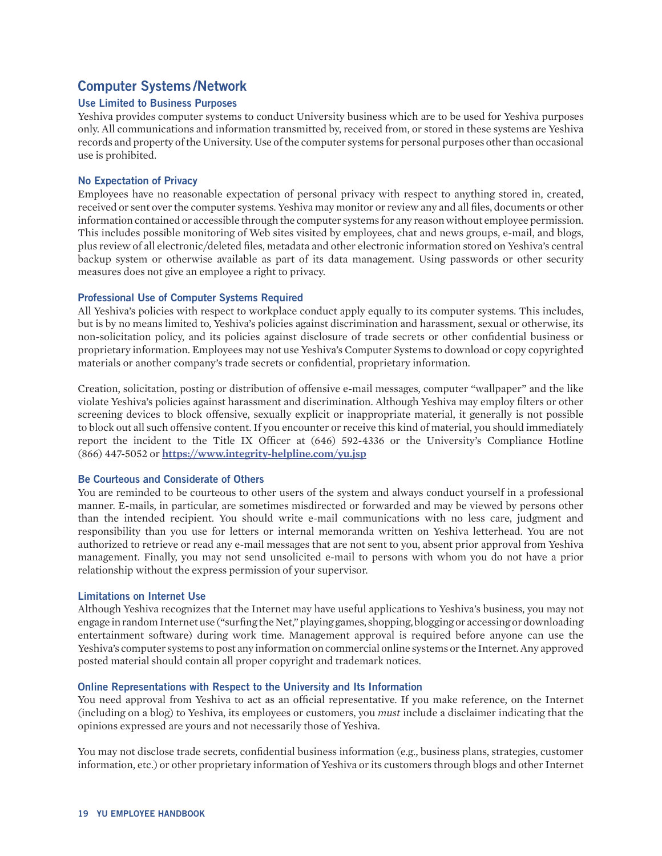### **Computer Systems /Network**

#### **Use Limited to Business Purposes**

Yeshiva provides computer systems to conduct University business which are to be used for Yeshiva purposes only. All communications and information transmitted by, received from, or stored in these systems are Yeshiva records and property of the University. Use of the computer systems for personal purposes other than occasional use is prohibited.

#### **No Expectation of Privacy**

Employees have no reasonable expectation of personal privacy with respect to anything stored in, created, received or sent over the computer systems. Yeshiva may monitor or review any and all files, documents or other information contained or accessible through the computer systems for any reason without employee permission. This includes possible monitoring of Web sites visited by employees, chat and news groups, e-mail, and blogs, plus review of all electronic/deleted files, metadata and other electronic information stored on Yeshiva's central backup system or otherwise available as part of its data management. Using passwords or other security measures does not give an employee a right to privacy.

#### **Professional Use of Computer Systems Required**

All Yeshiva's policies with respect to workplace conduct apply equally to its computer systems. This includes, but is by no means limited to, Yeshiva's policies against discrimination and harassment, sexual or otherwise, its non-solicitation policy, and its policies against disclosure of trade secrets or other confidential business or proprietary information. Employees may not use Yeshiva's Computer Systems to download or copy copyrighted materials or another company's trade secrets or confidential, proprietary information.

Creation, solicitation, posting or distribution of offensive e-mail messages, computer "wallpaper" and the like violate Yeshiva's policies against harassment and discrimination. Although Yeshiva may employ filters or other screening devices to block offensive, sexually explicit or inappropriate material, it generally is not possible to block out all such offensive content. If you encounter or receive this kind of material, you should immediately report the incident to the Title IX Officer at (646) 592-4336 or the University's Compliance Hotline (866) 447-5052 or **<https://www.integrity-helpline.com/yu.jsp>**

#### **Be Courteous and Considerate of Others**

You are reminded to be courteous to other users of the system and always conduct yourself in a professional manner. E-mails, in particular, are sometimes misdirected or forwarded and may be viewed by persons other than the intended recipient. You should write e-mail communications with no less care, judgment and responsibility than you use for letters or internal memoranda written on Yeshiva letterhead. You are not authorized to retrieve or read any e-mail messages that are not sent to you, absent prior approval from Yeshiva management. Finally, you may not send unsolicited e-mail to persons with whom you do not have a prior relationship without the express permission of your supervisor.

#### **Limitations on Internet Use**

Although Yeshiva recognizes that the Internet may have useful applications to Yeshiva's business, you may not engage in random Internet use ("surfing the Net," playing games, shopping, blogging or accessing or downloading entertainment software) during work time. Management approval is required before anyone can use the Yeshiva's computer systems to post any information on commercial online systems or the Internet. Any approved posted material should contain all proper copyright and trademark notices.

#### **Online Representations with Respect to the University and Its Information**

You need approval from Yeshiva to act as an official representative. If you make reference, on the Internet (including on a blog) to Yeshiva, its employees or customers, you *must* include a disclaimer indicating that the opinions expressed are yours and not necessarily those of Yeshiva.

You may not disclose trade secrets, confidential business information (e.g., business plans, strategies, customer information, etc.) or other proprietary information of Yeshiva or its customers through blogs and other Internet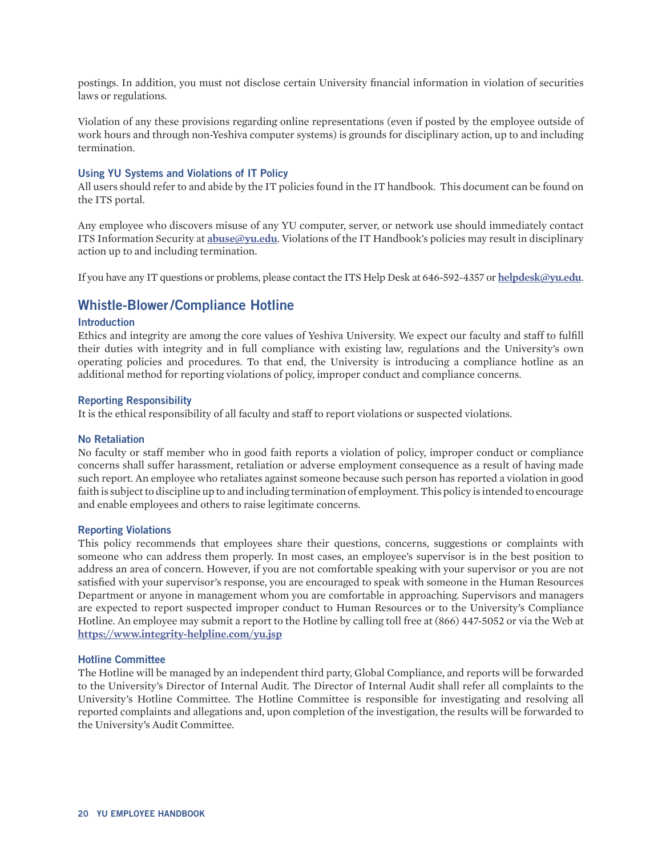<span id="page-19-0"></span>postings. In addition, you must not disclose certain University financial information in violation of securities laws or regulations.

Violation of any these provisions regarding online representations (even if posted by the employee outside of work hours and through non-Yeshiva computer systems) is grounds for disciplinary action, up to and including termination.

#### **Using YU Systems and Violations of IT Policy**

All users should refer to and abide by the IT policies found in the IT handbook. This document can be found on the ITS portal.

Any employee who discovers misuse of any YU computer, server, or network use should immediately contact ITS Information Security at **[abuse@yu.edu](mailto:abuse%40yu.edu?subject=)**. Violations of the IT Handbook's policies may result in disciplinary action up to and including termination.

If you have any IT questions or problems, please contact the ITS Help Desk at 646-592-4357 or **[helpdesk@yu.edu](mailto:helpdesk%40yu.edu?subject=)**.

### **Whistle-Blower/Compliance Hotline**

#### **Introduction**

Ethics and integrity are among the core values of Yeshiva University. We expect our faculty and staff to fulfill their duties with integrity and in full compliance with existing law, regulations and the University's own operating policies and procedures. To that end, the University is introducing a compliance hotline as an additional method for reporting violations of policy, improper conduct and compliance concerns.

#### **Reporting Responsibility**

It is the ethical responsibility of all faculty and staff to report violations or suspected violations.

#### **No Retaliation**

No faculty or staff member who in good faith reports a violation of policy, improper conduct or compliance concerns shall suffer harassment, retaliation or adverse employment consequence as a result of having made such report. An employee who retaliates against someone because such person has reported a violation in good faith is subject to discipline up to and including termination of employment. This policy is intended to encourage and enable employees and others to raise legitimate concerns.

#### **Reporting Violations**

This policy recommends that employees share their questions, concerns, suggestions or complaints with someone who can address them properly. In most cases, an employee's supervisor is in the best position to address an area of concern. However, if you are not comfortable speaking with your supervisor or you are not satisfied with your supervisor's response, you are encouraged to speak with someone in the Human Resources Department or anyone in management whom you are comfortable in approaching. Supervisors and managers are expected to report suspected improper conduct to Human Resources or to the University's Compliance Hotline. An employee may submit a report to the Hotline by calling toll free at (866) 447-5052 or via the Web at **<https://www.integrity-helpline.com/yu.jsp>**

#### **Hotline Committee**

The Hotline will be managed by an independent third party, Global Compliance, and reports will be forwarded to the University's Director of Internal Audit. The Director of Internal Audit shall refer all complaints to the University's Hotline Committee. The Hotline Committee is responsible for investigating and resolving all reported complaints and allegations and, upon completion of the investigation, the results will be forwarded to the University's Audit Committee.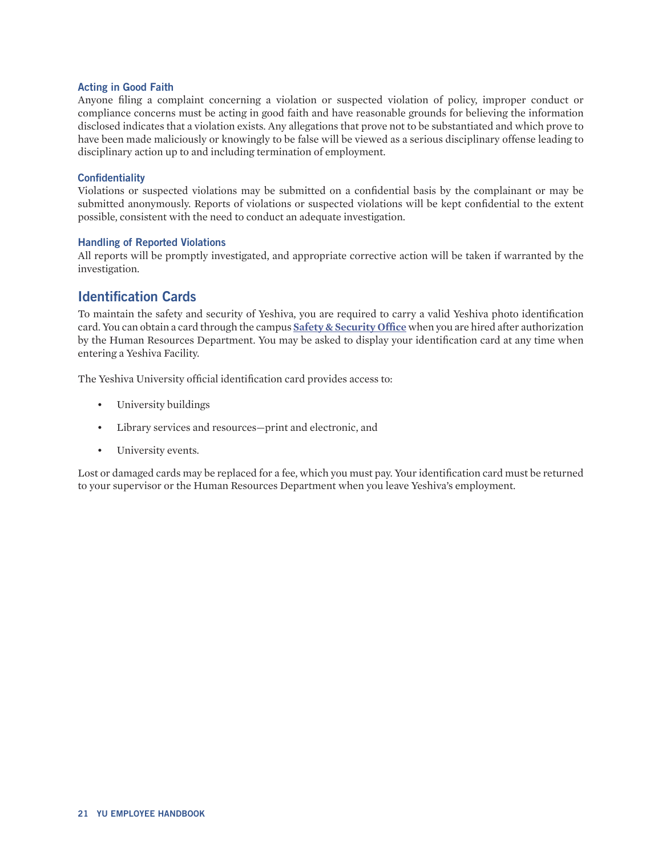#### <span id="page-20-0"></span>**Acting in Good Faith**

Anyone filing a complaint concerning a violation or suspected violation of policy, improper conduct or compliance concerns must be acting in good faith and have reasonable grounds for believing the information disclosed indicates that a violation exists. Any allegations that prove not to be substantiated and which prove to have been made maliciously or knowingly to be false will be viewed as a serious disciplinary offense leading to disciplinary action up to and including termination of employment.

#### **Confidentiality**

Violations or suspected violations may be submitted on a confidential basis by the complainant or may be submitted anonymously. Reports of violations or suspected violations will be kept confidential to the extent possible, consistent with the need to conduct an adequate investigation.

#### **Handling of Reported Violations**

All reports will be promptly investigated, and appropriate corrective action will be taken if warranted by the investigation.

### **Identification Cards**

To maintain the safety and security of Yeshiva, you are required to carry a valid Yeshiva photo identification card. You can obtain a card through the campus **[Safety & Security Office](http://www.yu.edu/safety-security/)** when you are hired after authorization by the Human Resources Department. You may be asked to display your identification card at any time when entering a Yeshiva Facility.

The Yeshiva University official identification card provides access to:

- University buildings
- Library services and resources-print and electronic, and
- University events.

Lost or damaged cards may be replaced for a fee, which you must pay. Your identification card must be returned to your supervisor or the Human Resources Department when you leave Yeshiva's employment.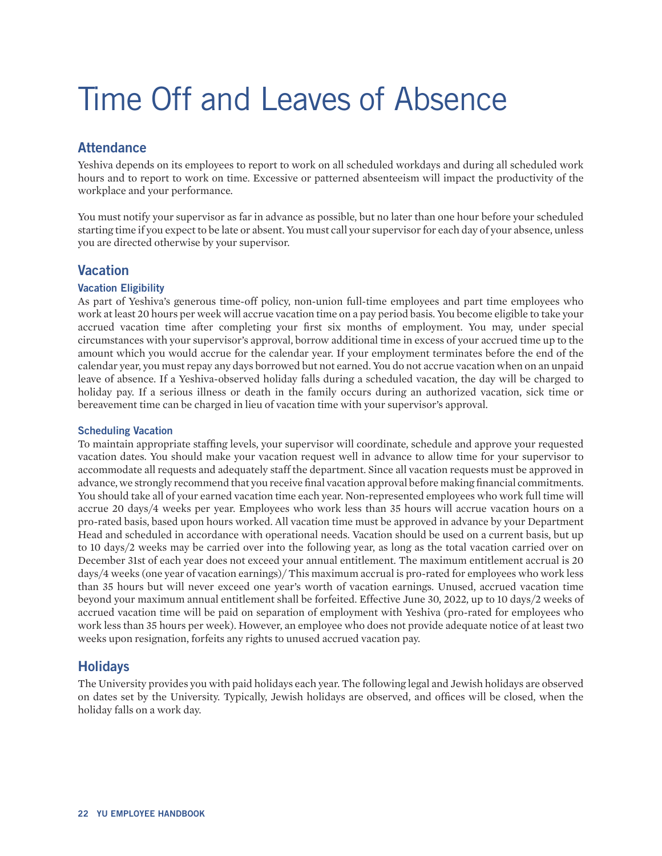# <span id="page-21-0"></span>Time Off and Leaves of Absence

## **Attendance**

Yeshiva depends on its employees to report to work on all scheduled workdays and during all scheduled work hours and to report to work on time. Excessive or patterned absenteeism will impact the productivity of the workplace and your performance.

You must notify your supervisor as far in advance as possible, but no later than one hour before your scheduled starting time if you expect to be late or absent. You must call your supervisor for each day of your absence, unless you are directed otherwise by your supervisor.

## **Vacation**

#### **Vacation Eligibility**

As part of Yeshiva's generous time-off policy, non-union full-time employees and part time employees who work at least 20 hours per week will accrue vacation time on a pay period basis. You become eligible to take your accrued vacation time after completing your first six months of employment. You may, under special circumstances with your supervisor's approval, borrow additional time in excess of your accrued time up to the amount which you would accrue for the calendar year. If your employment terminates before the end of the calendar year, you must repay any days borrowed but not earned. You do not accrue vacation when on an unpaid leave of absence. If a Yeshiva-observed holiday falls during a scheduled vacation, the day will be charged to holiday pay. If a serious illness or death in the family occurs during an authorized vacation, sick time or bereavement time can be charged in lieu of vacation time with your supervisor's approval.

#### **Scheduling Vacation**

To maintain appropriate staffing levels, your supervisor will coordinate, schedule and approve your requested vacation dates. You should make your vacation request well in advance to allow time for your supervisor to accommodate all requests and adequately staff the department. Since all vacation requests must be approved in advance, we strongly recommend that you receive final vacation approval before making financial commitments. You should take all of your earned vacation time each year. Non-represented employees who work full time will accrue 20 days/4 weeks per year. Employees who work less than 35 hours will accrue vacation hours on a pro-rated basis, based upon hours worked. All vacation time must be approved in advance by your Department Head and scheduled in accordance with operational needs. Vacation should be used on a current basis, but up to 10 days/2 weeks may be carried over into the following year, as long as the total vacation carried over on December 31st of each year does not exceed your annual entitlement. The maximum entitlement accrual is 20 days/4 weeks (one year of vacation earnings)/ This maximum accrual is pro-rated for employees who work less than 35 hours but will never exceed one year's worth of vacation earnings. Unused, accrued vacation time beyond your maximum annual entitlement shall be forfeited. Effective June 30, 2022, up to 10 days/2 weeks of accrued vacation time will be paid on separation of employment with Yeshiva (pro-rated for employees who work less than 35 hours per week). However, an employee who does not provide adequate notice of at least two weeks upon resignation, forfeits any rights to unused accrued vacation pay.

## **Holidays**

The University provides you with paid holidays each year. The following legal and Jewish holidays are observed on dates set by the University. Typically, Jewish holidays are observed, and offices will be closed, when the holiday falls on a work day.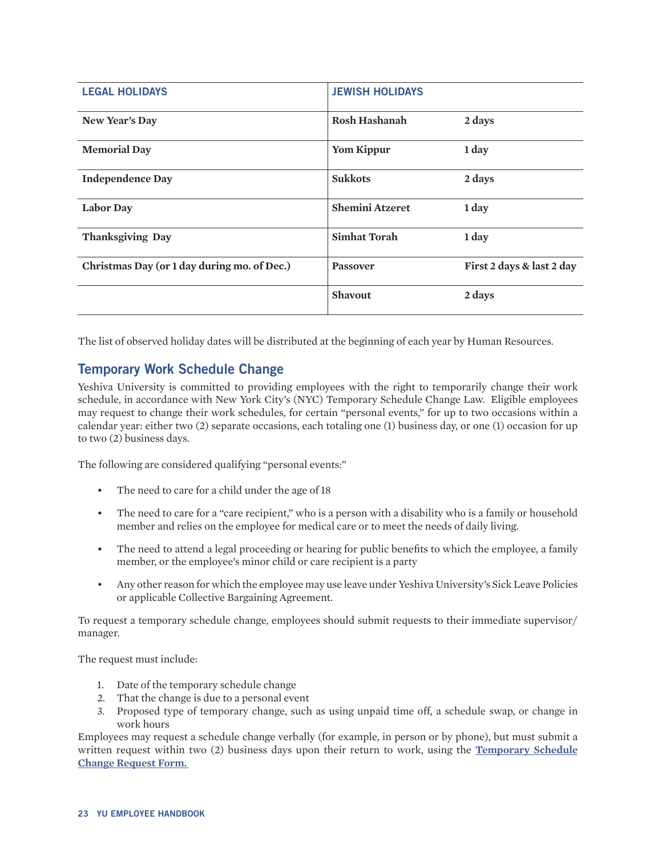<span id="page-22-0"></span>

| <b>LEGAL HOLIDAYS</b>                       | <b>JEWISH HOLIDAYS</b> |                           |
|---------------------------------------------|------------------------|---------------------------|
| New Year's Day                              | <b>Rosh Hashanah</b>   | 2 days                    |
| <b>Memorial Day</b>                         | Yom Kippur             | 1 day                     |
| <b>Independence Day</b>                     | <b>Sukkots</b>         | 2 days                    |
| <b>Labor Day</b>                            | <b>Shemini Atzeret</b> | 1 day                     |
| Thanksgiving Day                            | <b>Simhat Torah</b>    | 1 day                     |
| Christmas Day (or 1 day during mo. of Dec.) | <b>Passover</b>        | First 2 days & last 2 day |
|                                             | Shavout                | 2 days                    |
|                                             |                        |                           |

The list of observed holiday dates will be distributed at the beginning of each year by Human Resources.

## **Temporary Work Schedule Change**

Yeshiva University is committed to providing employees with the right to temporarily change their work schedule, in accordance with New York City's (NYC) Temporary Schedule Change Law. Eligible employees may request to change their work schedules, for certain "personal events," for up to two occasions within a calendar year: either two (2) separate occasions, each totaling one (1) business day, or one (1) occasion for up to two (2) business days.

The following are considered qualifying "personal events:"

- The need to care for a child under the age of 18
- The need to care for a "care recipient," who is a person with a disability who is a family or household member and relies on the employee for medical care or to meet the needs of daily living.
- The need to attend a legal proceeding or hearing for public benefits to which the employee, a family member, or the employee's minor child or care recipient is a party
- Any other reason for which the employee may use leave under Yeshiva University's Sick Leave Policies or applicable Collective Bargaining Agreement.

To request a temporary schedule change, employees should submit requests to their immediate supervisor/ manager.

The request must include:

- 1. Date of the temporary schedule change
- 2. That the change is due to a personal event
- 3. Proposed type of temporary change, such as using unpaid time off, a schedule swap, or change in work hours

Employees may request a schedule change verbally (for example, in person or by phone), but must submit a written request within two (2) business days upon their return to work, using the **[Temporary Schedule](https://www.yu.edu/sites/default/files/inline-files/YUTemporaryScheduleChangeRequestForm.pdf)  [Change Request Form](https://www.yu.edu/sites/default/files/inline-files/YUTemporaryScheduleChangeRequestForm.pdf).**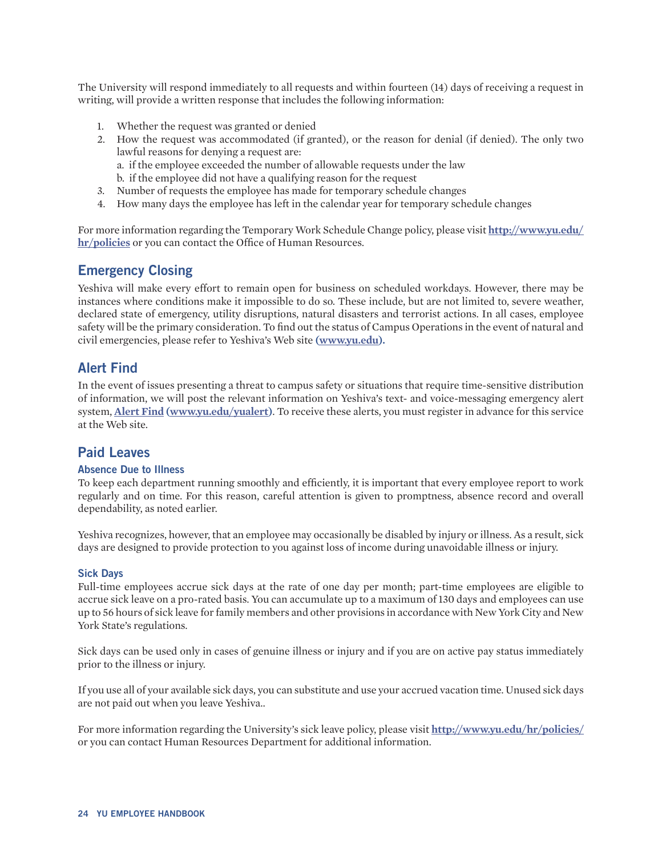<span id="page-23-0"></span>The University will respond immediately to all requests and within fourteen (14) days of receiving a request in writing, will provide a written response that includes the following information:

- 1. Whether the request was granted or denied
- 2. How the request was accommodated (if granted), or the reason for denial (if denied). The only two lawful reasons for denying a request are:
	- a. if the employee exceeded the number of allowable requests under the law
	- b. if the employee did not have a qualifying reason for the request
- 3. Number of requests the employee has made for temporary schedule changes
- 4. How many days the employee has left in the calendar year for temporary schedule changes

For more information regarding the Temporary Work Schedule Change policy, please visit **[http://www.yu.edu/](http://www.yu.edu/hr/policies) [hr/policies](http://www.yu.edu/hr/policies)** or you can contact the Office of Human Resources.

### **Emergency Closing**

Yeshiva will make every effort to remain open for business on scheduled workdays. However, there may be instances where conditions make it impossible to do so. These include, but are not limited to, severe weather, declared state of emergency, utility disruptions, natural disasters and terrorist actions. In all cases, employee safety will be the primary consideration. To find out the status of Campus Operations in the event of natural and civil emergencies, please refer to Yeshiva's Web site **[\(www.yu.edu](http://www.yu.edu)).**

## **Alert Find**

In the event of issues presenting a threat to campus safety or situations that require time-sensitive distribution of information, we will post the relevant information on Yeshiva's text- and voice-messaging emergency alert system, **[Alert Find](https://www.yu.edu/safety-security/yu-alerts/alert-how) [\(www.yu.edu/yualert](http://www.yu.edu/safety-security/yu-alerts/alert-how))**. To receive these alerts, you must register in advance for this service at the Web site.

### **Paid Leaves**

#### **Absence Due to Illness**

To keep each department running smoothly and efficiently, it is important that every employee report to work regularly and on time. For this reason, careful attention is given to promptness, absence record and overall dependability, as noted earlier.

Yeshiva recognizes, however, that an employee may occasionally be disabled by injury or illness. As a result, sick days are designed to provide protection to you against loss of income during unavoidable illness or injury.

#### **Sick Days**

Full-time employees accrue sick days at the rate of one day per month; part-time employees are eligible to accrue sick leave on a pro-rated basis. You can accumulate up to a maximum of 130 days and employees can use up to 56 hours of sick leave for family members and other provisions in accordance with New York City and New York State's regulations.

Sick days can be used only in cases of genuine illness or injury and if you are on active pay status immediately prior to the illness or injury.

If you use all of your available sick days, you can substitute and use your accrued vacation time. Unused sick days are not paid out when you leave Yeshiva..

For more information regarding the University's sick leave policy, please visit **<http://www.yu.edu/hr/policies/>**  or you can contact Human Resources Department for additional information.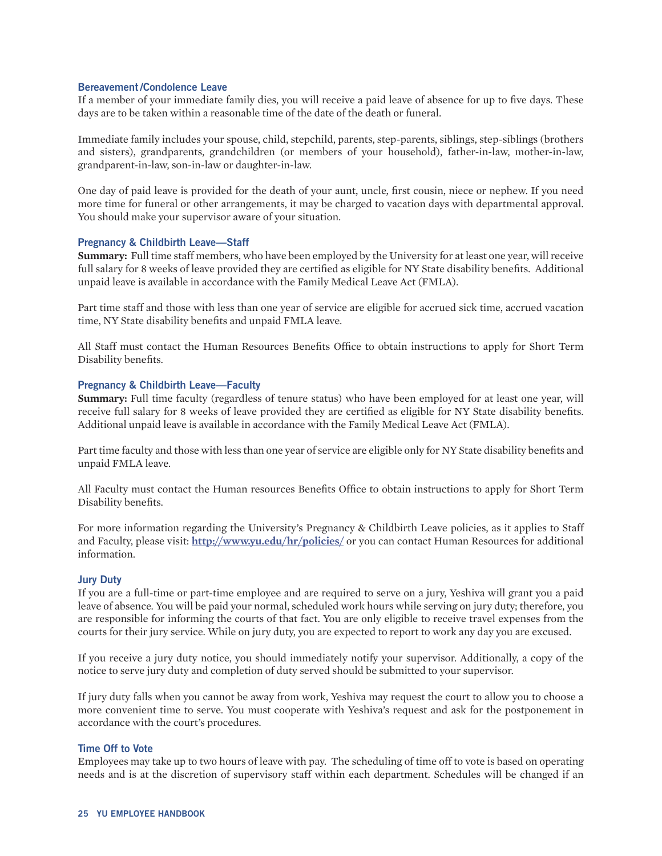#### <span id="page-24-0"></span>**Bereavement/Condolence Leave**

If a member of your immediate family dies, you will receive a paid leave of absence for up to five days. These days are to be taken within a reasonable time of the date of the death or funeral.

Immediate family includes your spouse, child, stepchild, parents, step-parents, siblings, step-siblings (brothers and sisters), grandparents, grandchildren (or members of your household), father-in-law, mother-in-law, grandparent-in-law, son-in-law or daughter-in-law.

One day of paid leave is provided for the death of your aunt, uncle, first cousin, niece or nephew. If you need more time for funeral or other arrangements, it may be charged to vacation days with departmental approval. You should make your supervisor aware of your situation.

#### **Pregnancy & Childbirth Leave—Staff**

**Summary:** Full time staff members, who have been employed by the University for at least one year, will receive full salary for 8 weeks of leave provided they are certified as eligible for NY State disability benefits. Additional unpaid leave is available in accordance with the Family Medical Leave Act (FMLA).

Part time staff and those with less than one year of service are eligible for accrued sick time, accrued vacation time, NY State disability benefits and unpaid FMLA leave.

All Staff must contact the Human Resources Benefits Office to obtain instructions to apply for Short Term Disability benefits.

#### **Pregnancy & Childbirth Leave—Faculty**

**Summary:** Full time faculty (regardless of tenure status) who have been employed for at least one year, will receive full salary for 8 weeks of leave provided they are certified as eligible for NY State disability benefits. Additional unpaid leave is available in accordance with the Family Medical Leave Act (FMLA).

Part time faculty and those with less than one year of service are eligible only for NY State disability benefits and unpaid FMLA leave.

All Faculty must contact the Human resources Benefits Office to obtain instructions to apply for Short Term Disability benefits.

For more information regarding the University's Pregnancy & Childbirth Leave policies, as it applies to Staff and Faculty, please visit: **<http://www.yu.edu/hr/policies/>** or you can contact Human Resources for additional information.

#### **Jury Duty**

If you are a full-time or part-time employee and are required to serve on a jury, Yeshiva will grant you a paid leave of absence. You will be paid your normal, scheduled work hours while serving on jury duty; therefore, you are responsible for informing the courts of that fact. You are only eligible to receive travel expenses from the courts for their jury service. While on jury duty, you are expected to report to work any day you are excused.

If you receive a jury duty notice, you should immediately notify your supervisor. Additionally, a copy of the notice to serve jury duty and completion of duty served should be submitted to your supervisor.

If jury duty falls when you cannot be away from work, Yeshiva may request the court to allow you to choose a more convenient time to serve. You must cooperate with Yeshiva's request and ask for the postponement in accordance with the court's procedures.

#### **Time Off to Vote**

Employees may take up to two hours of leave with pay. The scheduling of time off to vote is based on operating needs and is at the discretion of supervisory staff within each department. Schedules will be changed if an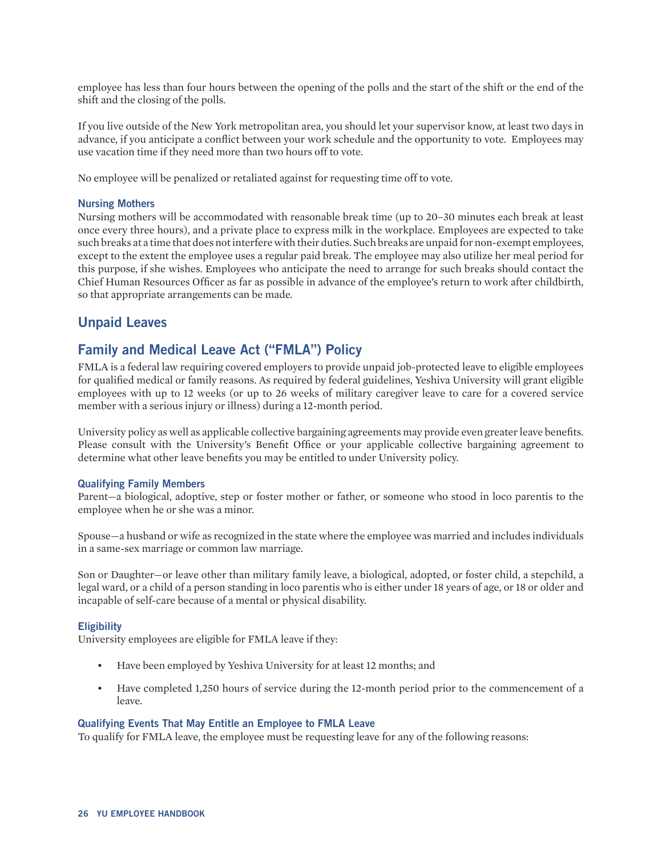<span id="page-25-0"></span>employee has less than four hours between the opening of the polls and the start of the shift or the end of the shift and the closing of the polls.

If you live outside of the New York metropolitan area, you should let your supervisor know, at least two days in advance, if you anticipate a conflict between your work schedule and the opportunity to vote. Employees may use vacation time if they need more than two hours off to vote.

No employee will be penalized or retaliated against for requesting time off to vote.

#### **Nursing Mothers**

Nursing mothers will be accommodated with reasonable break time (up to 20–30 minutes each break at least once every three hours), and a private place to express milk in the workplace. Employees are expected to take such breaks at a time that does not interfere with their duties. Such breaks are unpaid for non-exempt employees, except to the extent the employee uses a regular paid break. The employee may also utilize her meal period for this purpose, if she wishes. Employees who anticipate the need to arrange for such breaks should contact the Chief Human Resources Officer as far as possible in advance of the employee's return to work after childbirth, so that appropriate arrangements can be made.

### **Unpaid Leaves**

### **Family and Medical Leave Act ("FMLA") Policy**

FMLA is a federal law requiring covered employers to provide unpaid job-protected leave to eligible employees for qualified medical or family reasons. As required by federal guidelines, Yeshiva University will grant eligible employees with up to 12 weeks (or up to 26 weeks of military caregiver leave to care for a covered service member with a serious injury or illness) during a 12-month period.

University policy as well as applicable collective bargaining agreements may provide even greater leave benefits. Please consult with the University's Benefit Office or your applicable collective bargaining agreement to determine what other leave benefits you may be entitled to under University policy.

#### **Qualifying Family Members**

Parent—a biological, adoptive, step or foster mother or father, or someone who stood in loco parentis to the employee when he or she was a minor.

Spouse—a husband or wife as recognized in the state where the employee was married and includes individuals in a same-sex marriage or common law marriage.

Son or Daughter—or leave other than military family leave, a biological, adopted, or foster child, a stepchild, a legal ward, or a child of a person standing in loco parentis who is either under 18 years of age, or 18 or older and incapable of self-care because of a mental or physical disability.

#### **Eligibility**

University employees are eligible for FMLA leave if they:

- Have been employed by Yeshiva University for at least 12 months; and
- Have completed 1,250 hours of service during the 12-month period prior to the commencement of a leave.

#### **Qualifying Events That May Entitle an Employee to FMLA Leave**

To qualify for FMLA leave, the employee must be requesting leave for any of the following reasons: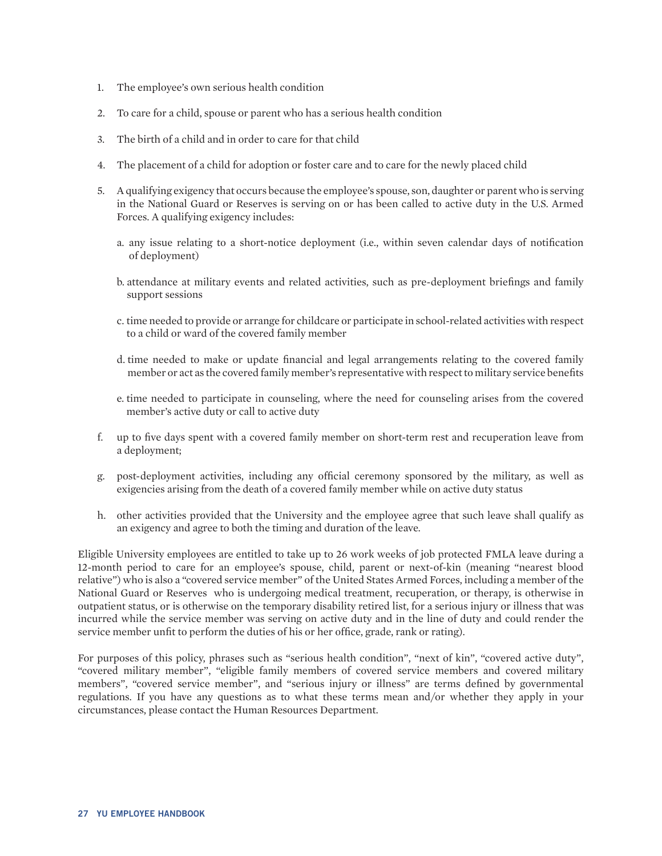- 1. The employee's own serious health condition
- 2. To care for a child, spouse or parent who has a serious health condition
- 3. The birth of a child and in order to care for that child
- 4. The placement of a child for adoption or foster care and to care for the newly placed child
- 5. A qualifying exigency that occurs because the employee's spouse, son, daughter or parent who is serving in the National Guard or Reserves is serving on or has been called to active duty in the U.S. Armed Forces. A qualifying exigency includes:
	- a. any issue relating to a short-notice deployment (i.e., within seven calendar days of notification of deployment)
	- b. attendance at military events and related activities, such as pre-deployment briefings and family support sessions
	- c. time needed to provide or arrange for childcare or participate in school-related activities with respect to a child or ward of the covered family member
	- d. time needed to make or update financial and legal arrangements relating to the covered family member or act as the covered family member's representative with respect to military service benefits
	- e. time needed to participate in counseling, where the need for counseling arises from the covered member's active duty or call to active duty
- f. up to five days spent with a covered family member on short-term rest and recuperation leave from a deployment;
- g. post-deployment activities, including any official ceremony sponsored by the military, as well as exigencies arising from the death of a covered family member while on active duty status
- h. other activities provided that the University and the employee agree that such leave shall qualify as an exigency and agree to both the timing and duration of the leave.

Eligible University employees are entitled to take up to 26 work weeks of job protected FMLA leave during a 12-month period to care for an employee's spouse, child, parent or next-of-kin (meaning "nearest blood relative") who is also a "covered service member" of the United States Armed Forces, including a member of the National Guard or Reserves who is undergoing medical treatment, recuperation, or therapy, is otherwise in outpatient status, or is otherwise on the temporary disability retired list, for a serious injury or illness that was incurred while the service member was serving on active duty and in the line of duty and could render the service member unfit to perform the duties of his or her office, grade, rank or rating).

For purposes of this policy, phrases such as "serious health condition", "next of kin", "covered active duty", "covered military member", "eligible family members of covered service members and covered military members", "covered service member", and "serious injury or illness" are terms defined by governmental regulations. If you have any questions as to what these terms mean and/or whether they apply in your circumstances, please contact the Human Resources Department.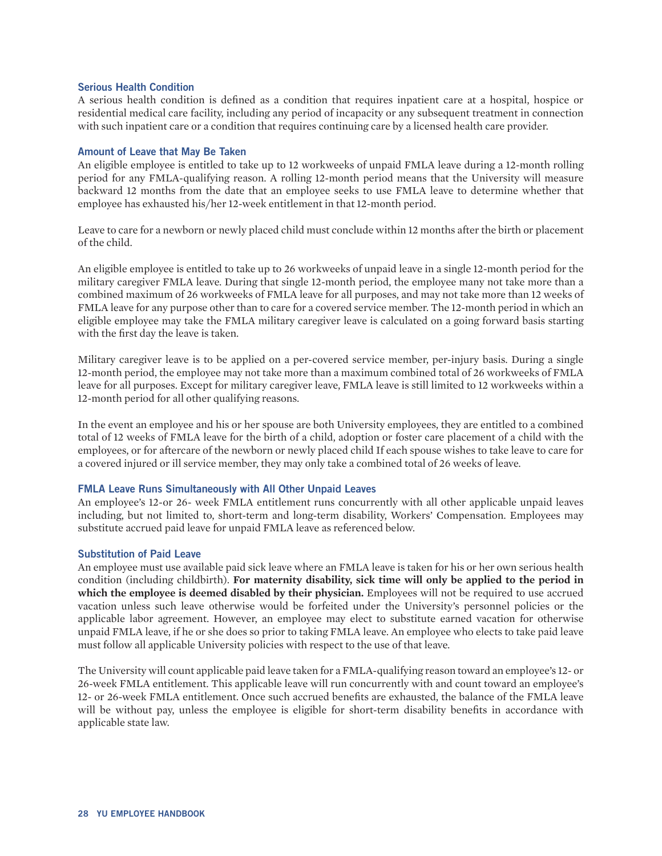#### **Serious Health Condition**

A serious health condition is defined as a condition that requires inpatient care at a hospital, hospice or residential medical care facility, including any period of incapacity or any subsequent treatment in connection with such inpatient care or a condition that requires continuing care by a licensed health care provider.

#### **Amount of Leave that May Be Taken**

An eligible employee is entitled to take up to 12 workweeks of unpaid FMLA leave during a 12-month rolling period for any FMLA-qualifying reason. A rolling 12-month period means that the University will measure backward 12 months from the date that an employee seeks to use FMLA leave to determine whether that employee has exhausted his/her 12-week entitlement in that 12-month period.

Leave to care for a newborn or newly placed child must conclude within 12 months after the birth or placement of the child.

An eligible employee is entitled to take up to 26 workweeks of unpaid leave in a single 12-month period for the military caregiver FMLA leave. During that single 12-month period, the employee many not take more than a combined maximum of 26 workweeks of FMLA leave for all purposes, and may not take more than 12 weeks of FMLA leave for any purpose other than to care for a covered service member. The 12-month period in which an eligible employee may take the FMLA military caregiver leave is calculated on a going forward basis starting with the first day the leave is taken.

Military caregiver leave is to be applied on a per-covered service member, per-injury basis. During a single 12-month period, the employee may not take more than a maximum combined total of 26 workweeks of FMLA leave for all purposes. Except for military caregiver leave, FMLA leave is still limited to 12 workweeks within a 12-month period for all other qualifying reasons.

In the event an employee and his or her spouse are both University employees, they are entitled to a combined total of 12 weeks of FMLA leave for the birth of a child, adoption or foster care placement of a child with the employees, or for aftercare of the newborn or newly placed child If each spouse wishes to take leave to care for a covered injured or ill service member, they may only take a combined total of 26 weeks of leave.

#### **FMLA Leave Runs Simultaneously with All Other Unpaid Leaves**

An employee's 12-or 26- week FMLA entitlement runs concurrently with all other applicable unpaid leaves including, but not limited to, short-term and long-term disability, Workers' Compensation. Employees may substitute accrued paid leave for unpaid FMLA leave as referenced below.

#### **Substitution of Paid Leave**

An employee must use available paid sick leave where an FMLA leave is taken for his or her own serious health condition (including childbirth). **For maternity disability, sick time will only be applied to the period in which the employee is deemed disabled by their physician.** Employees will not be required to use accrued vacation unless such leave otherwise would be forfeited under the University's personnel policies or the applicable labor agreement. However, an employee may elect to substitute earned vacation for otherwise unpaid FMLA leave, if he or she does so prior to taking FMLA leave. An employee who elects to take paid leave must follow all applicable University policies with respect to the use of that leave.

The University will count applicable paid leave taken for a FMLA-qualifying reason toward an employee's 12- or 26-week FMLA entitlement. This applicable leave will run concurrently with and count toward an employee's 12- or 26-week FMLA entitlement. Once such accrued benefits are exhausted, the balance of the FMLA leave will be without pay, unless the employee is eligible for short-term disability benefits in accordance with applicable state law.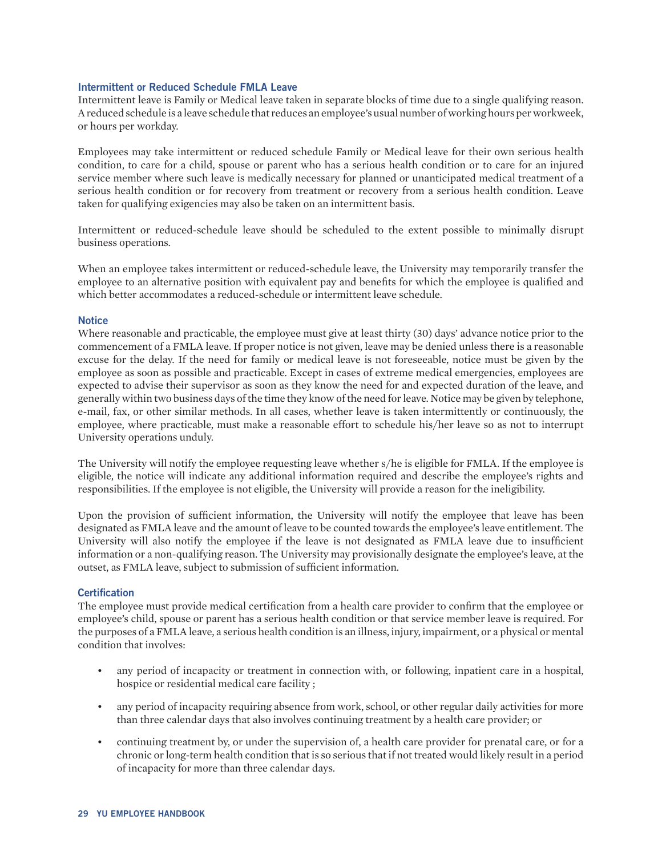#### **Intermittent or Reduced Schedule FMLA Leave**

Intermittent leave is Family or Medical leave taken in separate blocks of time due to a single qualifying reason. A reduced schedule is a leave schedule that reduces an employee's usual number of working hours per workweek, or hours per workday.

Employees may take intermittent or reduced schedule Family or Medical leave for their own serious health condition, to care for a child, spouse or parent who has a serious health condition or to care for an injured service member where such leave is medically necessary for planned or unanticipated medical treatment of a serious health condition or for recovery from treatment or recovery from a serious health condition. Leave taken for qualifying exigencies may also be taken on an intermittent basis.

Intermittent or reduced-schedule leave should be scheduled to the extent possible to minimally disrupt business operations.

When an employee takes intermittent or reduced-schedule leave, the University may temporarily transfer the employee to an alternative position with equivalent pay and benefits for which the employee is qualified and which better accommodates a reduced-schedule or intermittent leave schedule.

#### **Notice**

Where reasonable and practicable, the employee must give at least thirty (30) days' advance notice prior to the commencement of a FMLA leave. If proper notice is not given, leave may be denied unless there is a reasonable excuse for the delay. If the need for family or medical leave is not foreseeable, notice must be given by the employee as soon as possible and practicable. Except in cases of extreme medical emergencies, employees are expected to advise their supervisor as soon as they know the need for and expected duration of the leave, and generally within two business days of the time they know of the need for leave. Notice may be given by telephone, e-mail, fax, or other similar methods. In all cases, whether leave is taken intermittently or continuously, the employee, where practicable, must make a reasonable effort to schedule his/her leave so as not to interrupt University operations unduly.

The University will notify the employee requesting leave whether s/he is eligible for FMLA. If the employee is eligible, the notice will indicate any additional information required and describe the employee's rights and responsibilities. If the employee is not eligible, the University will provide a reason for the ineligibility.

Upon the provision of sufficient information, the University will notify the employee that leave has been designated as FMLA leave and the amount of leave to be counted towards the employee's leave entitlement. The University will also notify the employee if the leave is not designated as FMLA leave due to insufficient information or a non-qualifying reason. The University may provisionally designate the employee's leave, at the outset, as FMLA leave, subject to submission of sufficient information.

#### **Certification**

The employee must provide medical certification from a health care provider to confirm that the employee or employee's child, spouse or parent has a serious health condition or that service member leave is required. For the purposes of a FMLA leave, a serious health condition is an illness, injury, impairment, or a physical or mental condition that involves:

- any period of incapacity or treatment in connection with, or following, inpatient care in a hospital, hospice or residential medical care facility ;
- any period of incapacity requiring absence from work, school, or other regular daily activities for more than three calendar days that also involves continuing treatment by a health care provider; or
- continuing treatment by, or under the supervision of, a health care provider for prenatal care, or for a chronic or long-term health condition that is so serious that if not treated would likely result in a period of incapacity for more than three calendar days.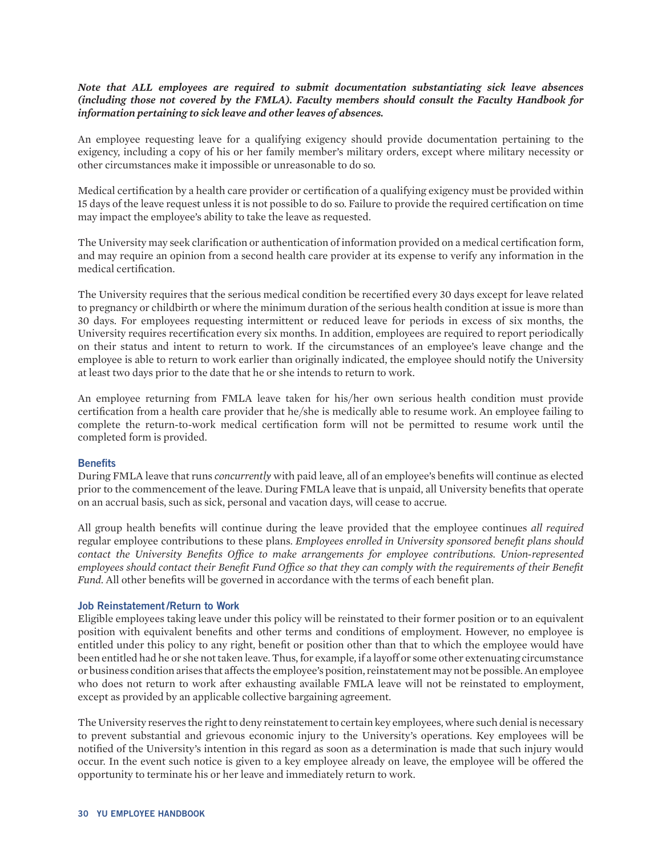#### *Note that ALL employees are required to submit documentation substantiating sick leave absences (including those not covered by the FMLA). Faculty members should consult the Faculty Handbook for information pertaining to sick leave and other leaves of absences.*

An employee requesting leave for a qualifying exigency should provide documentation pertaining to the exigency, including a copy of his or her family member's military orders, except where military necessity or other circumstances make it impossible or unreasonable to do so.

Medical certification by a health care provider or certification of a qualifying exigency must be provided within 15 days of the leave request unless it is not possible to do so. Failure to provide the required certification on time may impact the employee's ability to take the leave as requested.

The University may seek clarification or authentication of information provided on a medical certification form, and may require an opinion from a second health care provider at its expense to verify any information in the medical certification.

The University requires that the serious medical condition be recertified every 30 days except for leave related to pregnancy or childbirth or where the minimum duration of the serious health condition at issue is more than 30 days. For employees requesting intermittent or reduced leave for periods in excess of six months, the University requires recertification every six months. In addition, employees are required to report periodically on their status and intent to return to work. If the circumstances of an employee's leave change and the employee is able to return to work earlier than originally indicated, the employee should notify the University at least two days prior to the date that he or she intends to return to work.

An employee returning from FMLA leave taken for his/her own serious health condition must provide certification from a health care provider that he/she is medically able to resume work. An employee failing to complete the return-to-work medical certification form will not be permitted to resume work until the completed form is provided.

#### **Benefits**

During FMLA leave that runs *concurrently* with paid leave, all of an employee's benefits will continue as elected prior to the commencement of the leave. During FMLA leave that is unpaid, all University benefits that operate on an accrual basis, such as sick, personal and vacation days, will cease to accrue.

All group health benefits will continue during the leave provided that the employee continues *all required* regular employee contributions to these plans. *Employees enrolled in University sponsored benefit plans should contact the University Benefits Office to make arrangements for employee contributions. Union-represented employees should contact their Benefit Fund Office so that they can comply with the requirements of their Benefit Fund.* All other benefits will be governed in accordance with the terms of each benefit plan.

#### **Job Reinstatement/Return to Work**

Eligible employees taking leave under this policy will be reinstated to their former position or to an equivalent position with equivalent benefits and other terms and conditions of employment. However, no employee is entitled under this policy to any right, benefit or position other than that to which the employee would have been entitled had he or she not taken leave. Thus, for example, if a layoff or some other extenuating circumstance or business condition arises that affects the employee's position, reinstatement may not be possible. An employee who does not return to work after exhausting available FMLA leave will not be reinstated to employment, except as provided by an applicable collective bargaining agreement.

The University reserves the right to deny reinstatement to certain key employees, where such denial is necessary to prevent substantial and grievous economic injury to the University's operations. Key employees will be notified of the University's intention in this regard as soon as a determination is made that such injury would occur. In the event such notice is given to a key employee already on leave, the employee will be offered the opportunity to terminate his or her leave and immediately return to work.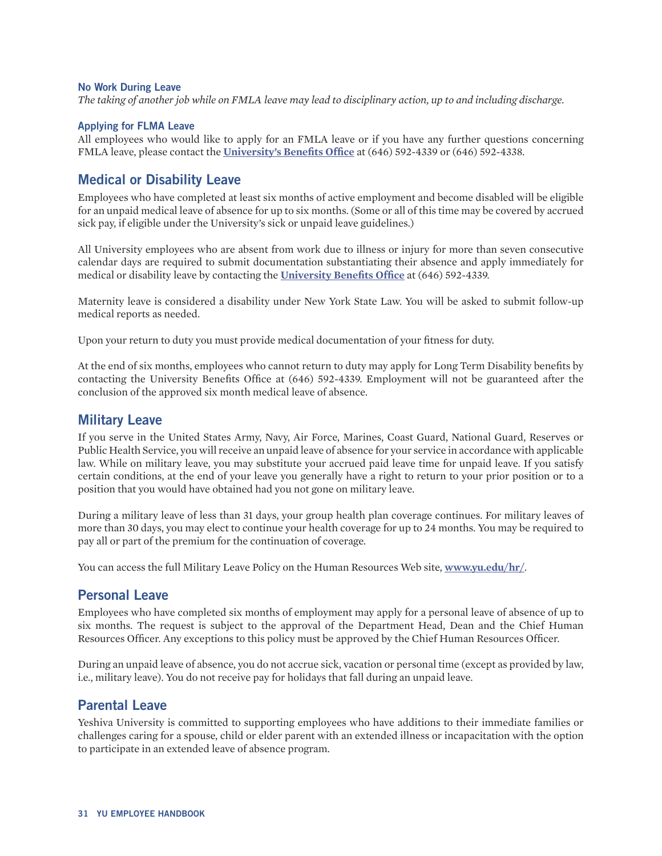#### <span id="page-30-0"></span>**No Work During Leave**

*The taking of another job while on FMLA leave may lead to disciplinary action, up to and including discharge.*

#### **Applying for FLMA Leave**

All employees who would like to apply for an FMLA leave or if you have any further questions concerning FMLA leave, please contact the **[University's Benefits Office](https://www.yu.edu/hr/benefits/)** at (646) 592-4339 or (646) 592-4338.

### **Medical or Disability Leave**

Employees who have completed at least six months of active employment and become disabled will be eligible for an unpaid medical leave of absence for up to six months. (Some or all of this time may be covered by accrued sick pay, if eligible under the University's sick or unpaid leave guidelines.)

All University employees who are absent from work due to illness or injury for more than seven consecutive calendar days are required to submit documentation substantiating their absence and apply immediately for medical or disability leave by contacting the **[University Benefits Office](https://www.yu.edu/hr/benefits/)** at (646) 592-4339.

Maternity leave is considered a disability under New York State Law. You will be asked to submit follow-up medical reports as needed.

Upon your return to duty you must provide medical documentation of your fitness for duty.

At the end of six months, employees who cannot return to duty may apply for Long Term Disability benefits by contacting the University Benefits Office at (646) 592-4339. Employment will not be guaranteed after the conclusion of the approved six month medical leave of absence.

#### **Military Leave**

If you serve in the United States Army, Navy, Air Force, Marines, Coast Guard, National Guard, Reserves or Public Health Service, you will receive an unpaid leave of absence for your service in accordance with applicable law. While on military leave, you may substitute your accrued paid leave time for unpaid leave. If you satisfy certain conditions, at the end of your leave you generally have a right to return to your prior position or to a position that you would have obtained had you not gone on military leave.

During a military leave of less than 31 days, your group health plan coverage continues. For military leaves of more than 30 days, you may elect to continue your health coverage for up to 24 months. You may be required to pay all or part of the premium for the continuation of coverage.

You can access the full Military Leave Policy on the Human Resources Web site, **[www.yu.edu/hr/](http://www.yu.edu/hr/)**.

### **Personal Leave**

Employees who have completed six months of employment may apply for a personal leave of absence of up to six months. The request is subject to the approval of the Department Head, Dean and the Chief Human Resources Officer. Any exceptions to this policy must be approved by the Chief Human Resources Officer.

During an unpaid leave of absence, you do not accrue sick, vacation or personal time (except as provided by law, i.e., military leave). You do not receive pay for holidays that fall during an unpaid leave.

### **Parental Leave**

Yeshiva University is committed to supporting employees who have additions to their immediate families or challenges caring for a spouse, child or elder parent with an extended illness or incapacitation with the option to participate in an extended leave of absence program.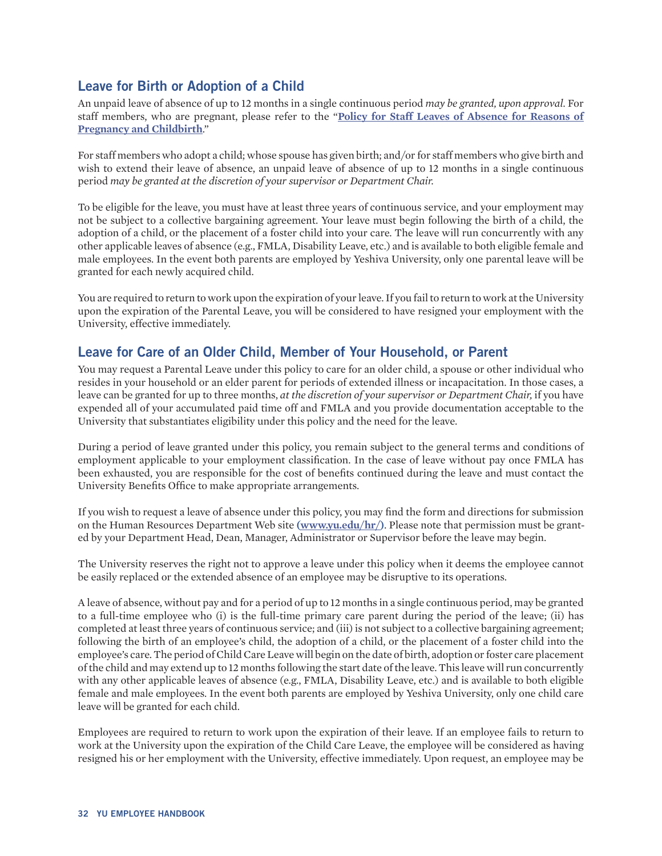## <span id="page-31-0"></span>**Leave for Birth or Adoption of a Child**

An unpaid leave of absence of up to 12 months in a single continuous period *may be granted, upon approval.* For staff members, who are pregnant, please refer to the "**[Policy for Staff Leaves of Absence for Reasons of](http://www.yu.edu/hr/policies/)  [Pregnancy and Childbirth](http://www.yu.edu/hr/policies/)**."

For staff members who adopt a child; whose spouse has given birth; and/or for staff members who give birth and wish to extend their leave of absence, an unpaid leave of absence of up to 12 months in a single continuous period *may be granted at the discretion of your supervisor or Department Chair.*

To be eligible for the leave, you must have at least three years of continuous service, and your employment may not be subject to a collective bargaining agreement. Your leave must begin following the birth of a child, the adoption of a child, or the placement of a foster child into your care. The leave will run concurrently with any other applicable leaves of absence (e.g., FMLA, Disability Leave, etc.) and is available to both eligible female and male employees. In the event both parents are employed by Yeshiva University, only one parental leave will be granted for each newly acquired child.

You are required to return to work upon the expiration of your leave. If you fail to return to work at the University upon the expiration of the Parental Leave, you will be considered to have resigned your employment with the University, effective immediately.

## **Leave for Care of an Older Child, Member of Your Household, or Parent**

You may request a Parental Leave under this policy to care for an older child, a spouse or other individual who resides in your household or an elder parent for periods of extended illness or incapacitation. In those cases, a leave can be granted for up to three months, *at the discretion of your supervisor or Department Chair,* if you have expended all of your accumulated paid time off and FMLA and you provide documentation acceptable to the University that substantiates eligibility under this policy and the need for the leave.

During a period of leave granted under this policy, you remain subject to the general terms and conditions of employment applicable to your employment classification. In the case of leave without pay once FMLA has been exhausted, you are responsible for the cost of benefits continued during the leave and must contact the University Benefits Office to make appropriate arrangements.

If you wish to request a leave of absence under this policy, you may find the form and directions for submission on the Human Resources Department Web site **[\(www.yu.edu/hr/\)](http://www.yu.edu/hr/)**. Please note that permission must be granted by your Department Head, Dean, Manager, Administrator or Supervisor before the leave may begin.

The University reserves the right not to approve a leave under this policy when it deems the employee cannot be easily replaced or the extended absence of an employee may be disruptive to its operations.

A leave of absence, without pay and for a period of up to 12 months in a single continuous period, may be granted to a full-time employee who (i) is the full-time primary care parent during the period of the leave; (ii) has completed at least three years of continuous service; and (iii) is not subject to a collective bargaining agreement; following the birth of an employee's child, the adoption of a child, or the placement of a foster child into the employee's care. The period of Child Care Leave will begin on the date of birth, adoption or foster care placement of the child and may extend up to 12 months following the start date of the leave. This leave will run concurrently with any other applicable leaves of absence (e.g., FMLA, Disability Leave, etc.) and is available to both eligible female and male employees. In the event both parents are employed by Yeshiva University, only one child care leave will be granted for each child.

Employees are required to return to work upon the expiration of their leave. If an employee fails to return to work at the University upon the expiration of the Child Care Leave, the employee will be considered as having resigned his or her employment with the University, effective immediately. Upon request, an employee may be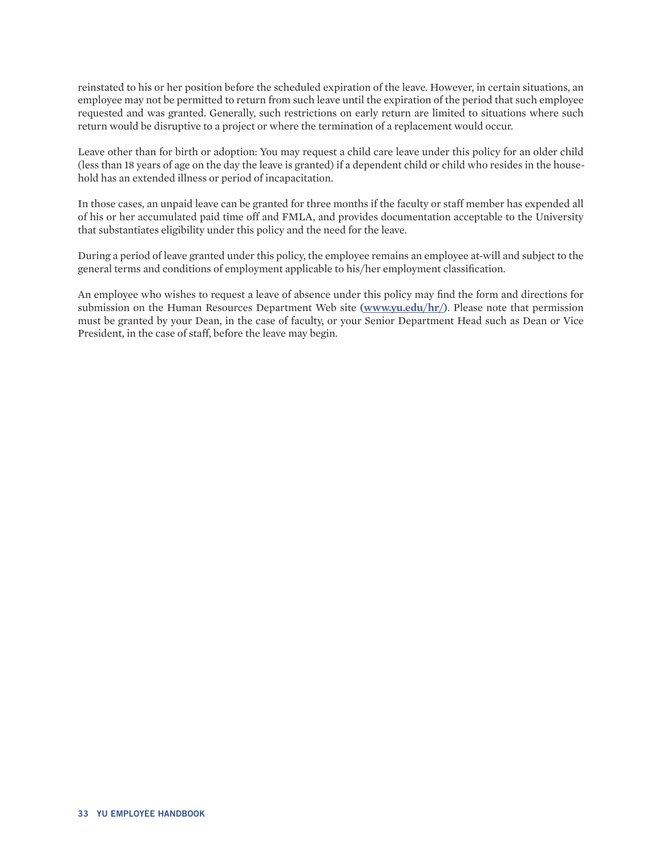reinstated to his or her position before the scheduled expiration of the leave. However, in certain situations, an employee may not be permitted to return from such leave until the expiration of the period that such employee requested and was granted. Generally, such restrictions on early return are limited to situations where such return would be disruptive to a project or where the termination of a replacement would occur.

Leave other than for birth or adoption: You may request a child care leave under this policy for an older child (less than 18 years of age on the day the leave is granted) if a dependent child or child who resides in the household has an extended illness or period of incapacitation.

In those cases, an unpaid leave can be granted for three months if the faculty or staff member has expended all of his or her accumulated paid time off and FMLA, and provides documentation acceptable to the University that substantiates eligibility under this policy and the need for the leave.

During a period of leave granted under this policy, the employee remains an employee at-will and subject to the general terms and conditions of employment applicable to his/her employment classification.

An employee who wishes to request a leave of absence under this policy may find the form and directions for submission on the Human Resources Department Web site **([www.yu.edu/hr/](http://www.yu.edu/hr/))**. Please note that permission must be granted by your Dean, in the case of faculty, or your Senior Department Head such as Dean or Vice President, in the case of staff, before the leave may begin.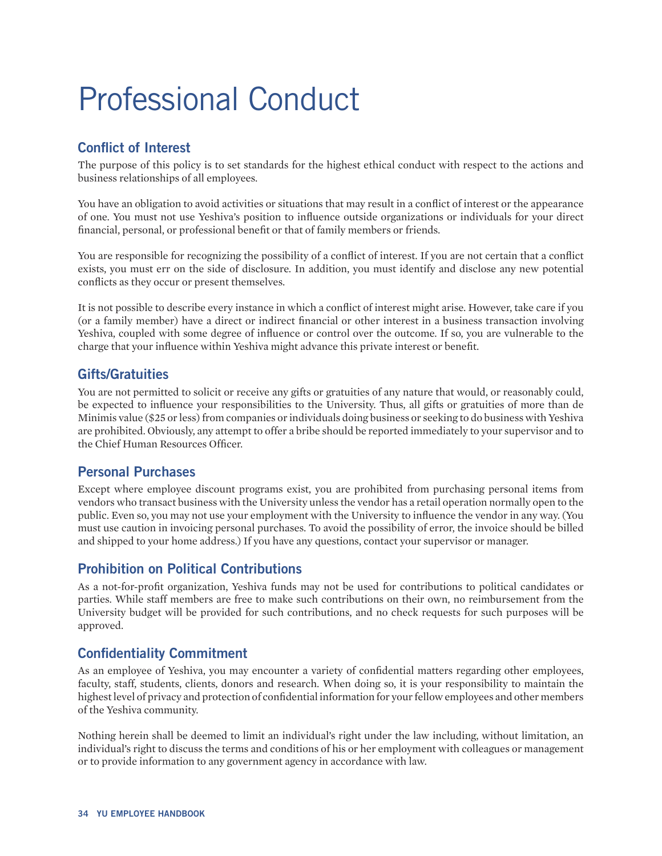# <span id="page-33-0"></span>Professional Conduct

# **Conflict of Interest**

The purpose of this policy is to set standards for the highest ethical conduct with respect to the actions and business relationships of all employees.

You have an obligation to avoid activities or situations that may result in a conflict of interest or the appearance of one. You must not use Yeshiva's position to influence outside organizations or individuals for your direct financial, personal, or professional benefit or that of family members or friends.

You are responsible for recognizing the possibility of a conflict of interest. If you are not certain that a conflict exists, you must err on the side of disclosure. In addition, you must identify and disclose any new potential conflicts as they occur or present themselves.

It is not possible to describe every instance in which a conflict of interest might arise. However, take care if you (or a family member) have a direct or indirect financial or other interest in a business transaction involving Yeshiva, coupled with some degree of influence or control over the outcome. If so, you are vulnerable to the charge that your influence within Yeshiva might advance this private interest or benefit.

## **Gifts/Gratuities**

You are not permitted to solicit or receive any gifts or gratuities of any nature that would, or reasonably could, be expected to influence your responsibilities to the University. Thus, all gifts or gratuities of more than de Minimis value (\$25 or less) from companies or individuals doing business or seeking to do business with Yeshiva are prohibited. Obviously, any attempt to offer a bribe should be reported immediately to your supervisor and to the Chief Human Resources Officer.

## **Personal Purchases**

Except where employee discount programs exist, you are prohibited from purchasing personal items from vendors who transact business with the University unless the vendor has a retail operation normally open to the public. Even so, you may not use your employment with the University to influence the vendor in any way. (You must use caution in invoicing personal purchases. To avoid the possibility of error, the invoice should be billed and shipped to your home address.) If you have any questions, contact your supervisor or manager.

## **Prohibition on Political Contributions**

As a not-for-profit organization, Yeshiva funds may not be used for contributions to political candidates or parties. While staff members are free to make such contributions on their own, no reimbursement from the University budget will be provided for such contributions, and no check requests for such purposes will be approved.

## **Confidentiality Commitment**

As an employee of Yeshiva, you may encounter a variety of confidential matters regarding other employees, faculty, staff, students, clients, donors and research. When doing so, it is your responsibility to maintain the highest level of privacy and protection of confidential information for your fellow employees and other members of the Yeshiva community.

Nothing herein shall be deemed to limit an individual's right under the law including, without limitation, an individual's right to discuss the terms and conditions of his or her employment with colleagues or management or to provide information to any government agency in accordance with law.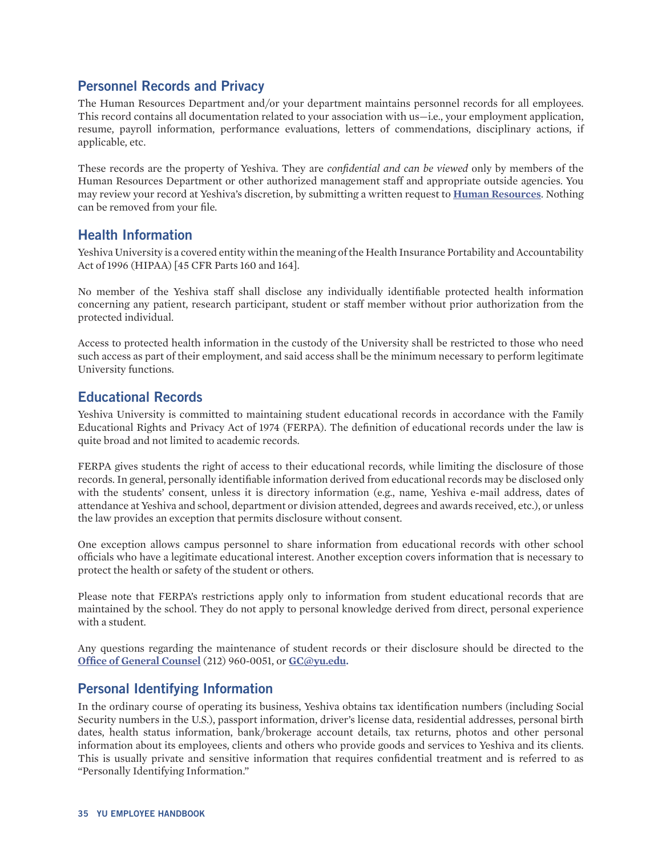## <span id="page-34-0"></span>**Personnel Records and Privacy**

The Human Resources Department and/or your department maintains personnel records for all employees. This record contains all documentation related to your association with us—i.e., your employment application, resume, payroll information, performance evaluations, letters of commendations, disciplinary actions, if applicable, etc.

These records are the property of Yeshiva. They are *confidential and can be viewed* only by members of the Human Resources Department or other authorized management staff and appropriate outside agencies. You may review your record at Yeshiva's discretion, by submitting a written request to **[Human Resources](http://www.yu.edu/hr/)**. Nothing can be removed from your file.

### **Health Information**

Yeshiva University is a covered entity within the meaning of the Health Insurance Portability and Accountability Act of 1996 (HIPAA) [45 CFR Parts 160 and 164].

No member of the Yeshiva staff shall disclose any individually identifiable protected health information concerning any patient, research participant, student or staff member without prior authorization from the protected individual.

Access to protected health information in the custody of the University shall be restricted to those who need such access as part of their employment, and said access shall be the minimum necessary to perform legitimate University functions.

## **Educational Records**

Yeshiva University is committed to maintaining student educational records in accordance with the Family Educational Rights and Privacy Act of 1974 (FERPA). The definition of educational records under the law is quite broad and not limited to academic records.

FERPA gives students the right of access to their educational records, while limiting the disclosure of those records. In general, personally identifiable information derived from educational records may be disclosed only with the students' consent, unless it is directory information (e.g., name, Yeshiva e-mail address, dates of attendance at Yeshiva and school, department or division attended, degrees and awards received, etc.), or unless the law provides an exception that permits disclosure without consent.

One exception allows campus personnel to share information from educational records with other school officials who have a legitimate educational interest. Another exception covers information that is necessary to protect the health or safety of the student or others.

Please note that FERPA's restrictions apply only to information from student educational records that are maintained by the school. They do not apply to personal knowledge derived from direct, personal experience with a student.

Any questions regarding the maintenance of student records or their disclosure should be directed to the **[Office of General Counsel](http://www.yu.edu/ogc/)** (212) 960-0051, or **[GC@yu.edu.](mailto:GC%40yu.edu.?subject=)**

## **Personal Identifying Information**

In the ordinary course of operating its business, Yeshiva obtains tax identification numbers (including Social Security numbers in the U.S.), passport information, driver's license data, residential addresses, personal birth dates, health status information, bank/brokerage account details, tax returns, photos and other personal information about its employees, clients and others who provide goods and services to Yeshiva and its clients. This is usually private and sensitive information that requires confidential treatment and is referred to as "Personally Identifying Information."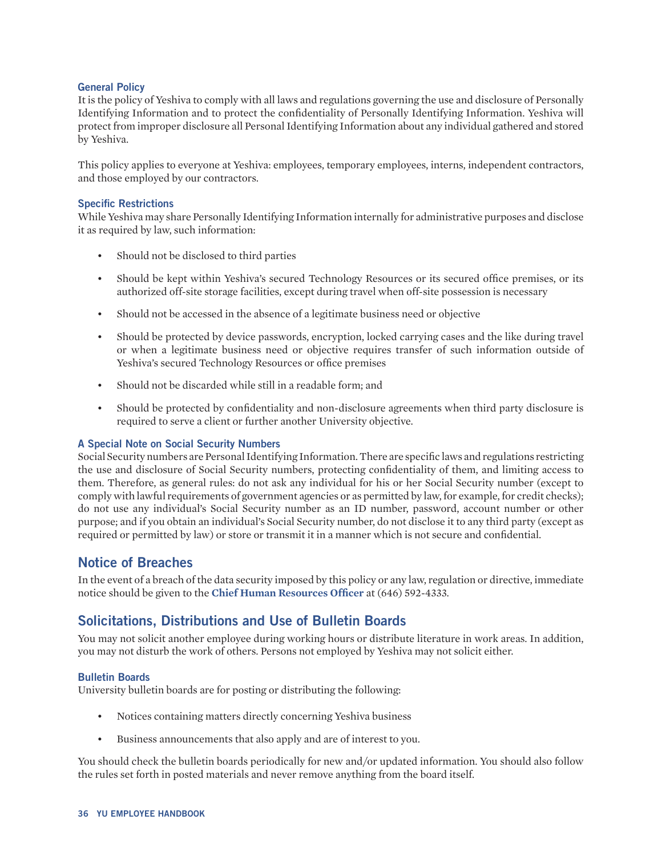#### <span id="page-35-0"></span>**General Policy**

It is the policy of Yeshiva to comply with all laws and regulations governing the use and disclosure of Personally Identifying Information and to protect the confidentiality of Personally Identifying Information. Yeshiva will protect from improper disclosure all Personal Identifying Information about any individual gathered and stored by Yeshiva.

This policy applies to everyone at Yeshiva: employees, temporary employees, interns, independent contractors, and those employed by our contractors.

#### **Specific Restrictions**

While Yeshiva may share Personally Identifying Information internally for administrative purposes and disclose it as required by law, such information:

- Should not be disclosed to third parties
- Should be kept within Yeshiva's secured Technology Resources or its secured office premises, or its authorized off-site storage facilities, except during travel when off-site possession is necessary
- Should not be accessed in the absence of a legitimate business need or objective
- Should be protected by device passwords, encryption, locked carrying cases and the like during travel or when a legitimate business need or objective requires transfer of such information outside of Yeshiva's secured Technology Resources or office premises
- Should not be discarded while still in a readable form; and
- Should be protected by confidentiality and non-disclosure agreements when third party disclosure is required to serve a client or further another University objective.

#### **A Special Note on Social Security Numbers**

Social Security numbers are Personal Identifying Information. There are specific laws and regulations restricting the use and disclosure of Social Security numbers, protecting confidentiality of them, and limiting access to them. Therefore, as general rules: do not ask any individual for his or her Social Security number (except to comply with lawful requirements of government agencies or as permitted by law, for example, for credit checks); do not use any individual's Social Security number as an ID number, password, account number or other purpose; and if you obtain an individual's Social Security number, do not disclose it to any third party (except as required or permitted by law) or store or transmit it in a manner which is not secure and confidential.

### **Notice of Breaches**

In the event of a breach of the data security imposed by this policy or any law, regulation or directive, immediate notice should be given to the **Chief Human Resources Officer** at (646) 592-4333.

## **Solicitations, Distributions and Use of Bulletin Boards**

You may not solicit another employee during working hours or distribute literature in work areas. In addition, you may not disturb the work of others. Persons not employed by Yeshiva may not solicit either.

#### **Bulletin Boards**

University bulletin boards are for posting or distributing the following:

- Notices containing matters directly concerning Yeshiva business
- Business announcements that also apply and are of interest to you.

You should check the bulletin boards periodically for new and/or updated information. You should also follow the rules set forth in posted materials and never remove anything from the board itself.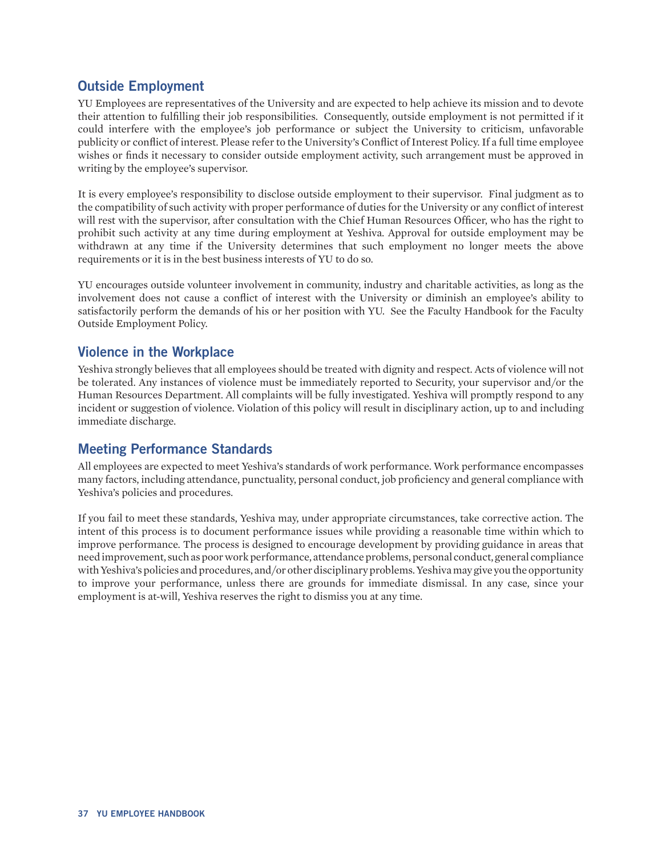## <span id="page-36-0"></span>**Outside Employment**

YU Employees are representatives of the University and are expected to help achieve its mission and to devote their attention to fulfilling their job responsibilities. Consequently, outside employment is not permitted if it could interfere with the employee's job performance or subject the University to criticism, unfavorable publicity or conflict of interest. Please refer to the University's Conflict of Interest Policy. If a full time employee wishes or finds it necessary to consider outside employment activity, such arrangement must be approved in writing by the employee's supervisor.

It is every employee's responsibility to disclose outside employment to their supervisor. Final judgment as to the compatibility of such activity with proper performance of duties for the University or any conflict of interest will rest with the supervisor, after consultation with the Chief Human Resources Officer, who has the right to prohibit such activity at any time during employment at Yeshiva. Approval for outside employment may be withdrawn at any time if the University determines that such employment no longer meets the above requirements or it is in the best business interests of YU to do so.

YU encourages outside volunteer involvement in community, industry and charitable activities, as long as the involvement does not cause a conflict of interest with the University or diminish an employee's ability to satisfactorily perform the demands of his or her position with YU. See the Faculty Handbook for the Faculty Outside Employment Policy.

## **Violence in the Workplace**

Yeshiva strongly believes that all employees should be treated with dignity and respect. Acts of violence will not be tolerated. Any instances of violence must be immediately reported to Security, your supervisor and/or the Human Resources Department. All complaints will be fully investigated. Yeshiva will promptly respond to any incident or suggestion of violence. Violation of this policy will result in disciplinary action, up to and including immediate discharge.

## **Meeting Performance Standards**

All employees are expected to meet Yeshiva's standards of work performance. Work performance encompasses many factors, including attendance, punctuality, personal conduct, job proficiency and general compliance with Yeshiva's policies and procedures.

If you fail to meet these standards, Yeshiva may, under appropriate circumstances, take corrective action. The intent of this process is to document performance issues while providing a reasonable time within which to improve performance. The process is designed to encourage development by providing guidance in areas that need improvement, such as poor work performance, attendance problems, personal conduct, general compliance with Yeshiva's policies and procedures, and/or other disciplinary problems. Yeshiva may give you the opportunity to improve your performance, unless there are grounds for immediate dismissal. In any case, since your employment is at-will, Yeshiva reserves the right to dismiss you at any time.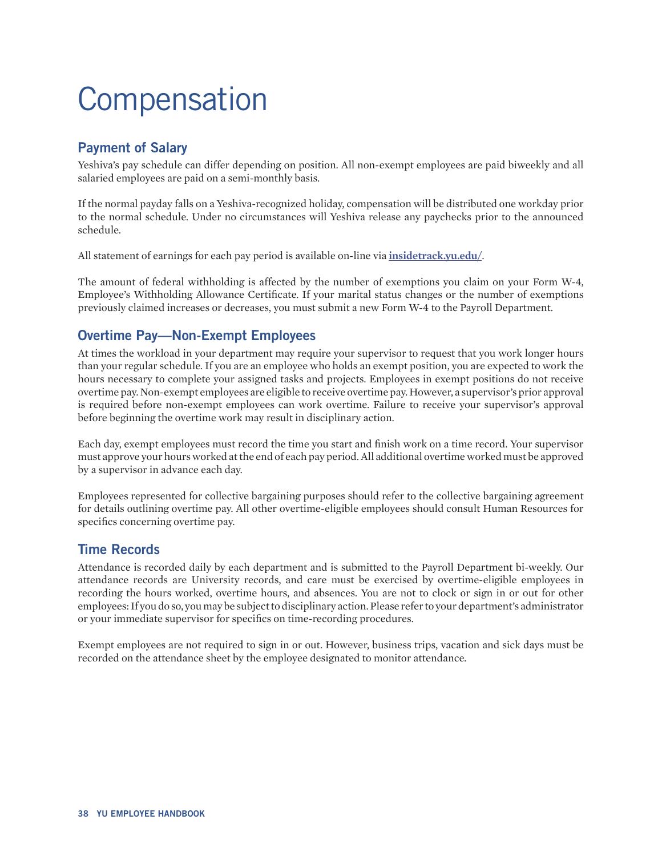# <span id="page-37-0"></span>**Compensation**

# **Payment of Salary**

Yeshiva's pay schedule can differ depending on position. All non-exempt employees are paid biweekly and all salaried employees are paid on a semi-monthly basis.

If the normal payday falls on a Yeshiva-recognized holiday, compensation will be distributed one workday prior to the normal schedule. Under no circumstances will Yeshiva release any paychecks prior to the announced schedule.

All statement of earnings for each pay period is available on-line via **[insidetrack.yu.edu/](https://yubeis.yu.edu:9443/authenticationendpoint/login.do?Name=PreLoginRequestProcessor&commonAuthCallerPath=%252Fcas%252Flogin&forceAuth=true&passiveAuth=false&service=https%3A%2F%2Finsidetrack.yu.edu%2Fc%2Fportal%2Flogin&tenantDomain=carbon.super&sessionDataKey=bc03322f-1003-4732-9f9f-202ca940dfbf&relyingParty=Luminis+Portal&type=cas&sp=Luminis+Portal&isSaaSApp=false&authenticators=BasicAuthenticator:LOCAL)**.

The amount of federal withholding is affected by the number of exemptions you claim on your Form W-4, Employee's Withholding Allowance Certificate. If your marital status changes or the number of exemptions previously claimed increases or decreases, you must submit a new Form W-4 to the Payroll Department.

## **Overtime Pay—Non-Exempt Employees**

At times the workload in your department may require your supervisor to request that you work longer hours than your regular schedule. If you are an employee who holds an exempt position, you are expected to work the hours necessary to complete your assigned tasks and projects. Employees in exempt positions do not receive overtime pay. Non-exempt employees are eligible to receive overtime pay. However, a supervisor's prior approval is required before non-exempt employees can work overtime. Failure to receive your supervisor's approval before beginning the overtime work may result in disciplinary action.

Each day, exempt employees must record the time you start and finish work on a time record. Your supervisor must approve your hours worked at the end of each pay period. All additional overtime worked must be approved by a supervisor in advance each day.

Employees represented for collective bargaining purposes should refer to the collective bargaining agreement for details outlining overtime pay. All other overtime-eligible employees should consult Human Resources for specifics concerning overtime pay.

## **Time Records**

Attendance is recorded daily by each department and is submitted to the Payroll Department bi-weekly. Our attendance records are University records, and care must be exercised by overtime-eligible employees in recording the hours worked, overtime hours, and absences. You are not to clock or sign in or out for other employees: If you do so, you may be subject to disciplinary action. Please refer to your department's administrator or your immediate supervisor for specifics on time-recording procedures.

Exempt employees are not required to sign in or out. However, business trips, vacation and sick days must be recorded on the attendance sheet by the employee designated to monitor attendance.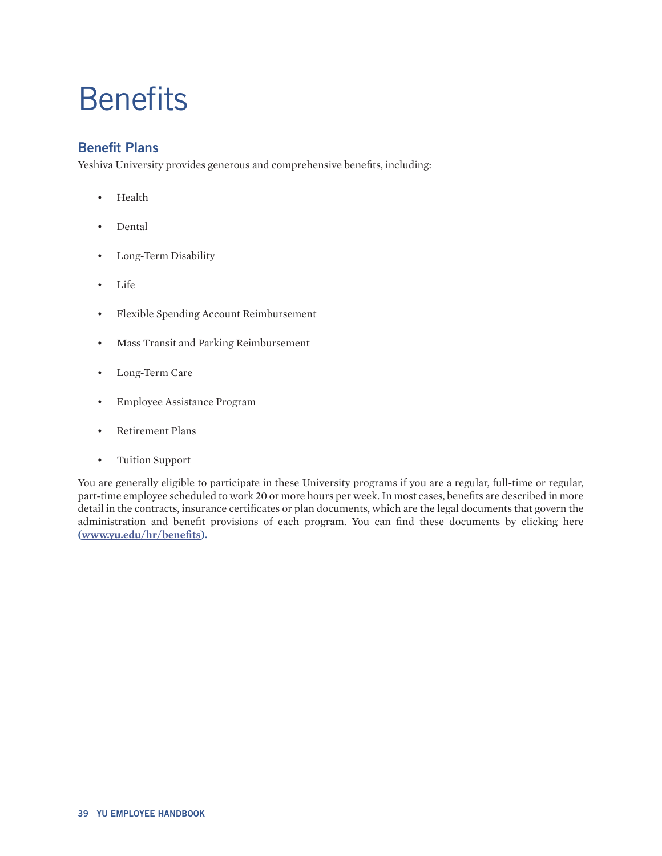# <span id="page-38-0"></span>**Benefits**

## **Benefit Plans**

Yeshiva University provides generous and comprehensive benefits, including:

- Health
- Dental
- Long-Term Disability
- Life
- Flexible Spending Account Reimbursement
- Mass Transit and Parking Reimbursement
- Long-Term Care
- Employee Assistance Program
- Retirement Plans
- Tuition Support

You are generally eligible to participate in these University programs if you are a regular, full-time or regular, part-time employee scheduled to work 20 or more hours per week. In most cases, benefits are described in more detail in the contracts, insurance certificates or plan documents, which are the legal documents that govern the administration and benefit provisions of each program. You can find these documents by clicking here **([www.yu.edu/hr/benefits\)](http://www.yu.edu/hr/benefits).**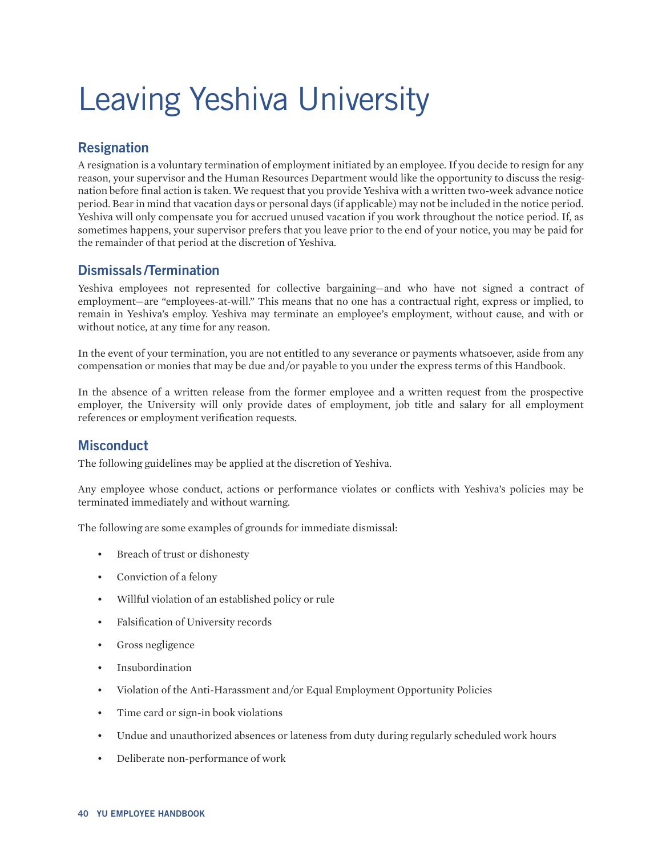# <span id="page-39-0"></span>Leaving Yeshiva University

# **Resignation**

A resignation is a voluntary termination of employment initiated by an employee. If you decide to resign for any reason, your supervisor and the Human Resources Department would like the opportunity to discuss the resignation before final action is taken. We request that you provide Yeshiva with a written two-week advance notice period. Bear in mind that vacation days or personal days (if applicable) may not be included in the notice period. Yeshiva will only compensate you for accrued unused vacation if you work throughout the notice period. If, as sometimes happens, your supervisor prefers that you leave prior to the end of your notice, you may be paid for the remainder of that period at the discretion of Yeshiva.

## **Dismissals /Termination**

Yeshiva employees not represented for collective bargaining—and who have not signed a contract of employment—are "employees-at-will." This means that no one has a contractual right, express or implied, to remain in Yeshiva's employ. Yeshiva may terminate an employee's employment, without cause, and with or without notice, at any time for any reason.

In the event of your termination, you are not entitled to any severance or payments whatsoever, aside from any compensation or monies that may be due and/or payable to you under the express terms of this Handbook.

In the absence of a written release from the former employee and a written request from the prospective employer, the University will only provide dates of employment, job title and salary for all employment references or employment verification requests.

## **Misconduct**

The following guidelines may be applied at the discretion of Yeshiva.

Any employee whose conduct, actions or performance violates or conflicts with Yeshiva's policies may be terminated immediately and without warning.

The following are some examples of grounds for immediate dismissal:

- Breach of trust or dishonesty
- Conviction of a felony
- Willful violation of an established policy or rule
- Falsification of University records
- Gross negligence
- **Insubordination**
- Violation of the Anti-Harassment and/or Equal Employment Opportunity Policies
- Time card or sign-in book violations
- Undue and unauthorized absences or lateness from duty during regularly scheduled work hours
- Deliberate non-performance of work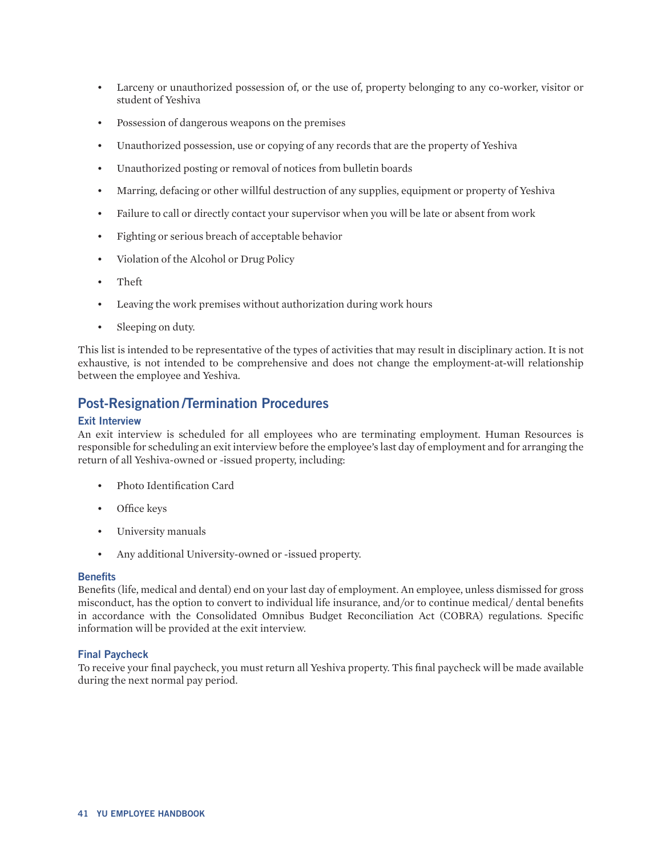- <span id="page-40-0"></span>• Larceny or unauthorized possession of, or the use of, property belonging to any co-worker, visitor or student of Yeshiva
- Possession of dangerous weapons on the premises
- Unauthorized possession, use or copying of any records that are the property of Yeshiva
- Unauthorized posting or removal of notices from bulletin boards
- Marring, defacing or other willful destruction of any supplies, equipment or property of Yeshiva
- Failure to call or directly contact your supervisor when you will be late or absent from work
- Fighting or serious breach of acceptable behavior
- Violation of the Alcohol or Drug Policy
- Theft
- Leaving the work premises without authorization during work hours
- Sleeping on duty.

This list is intended to be representative of the types of activities that may result in disciplinary action. It is not exhaustive, is not intended to be comprehensive and does not change the employment-at-will relationship between the employee and Yeshiva.

### **Post-Resignation /Termination Procedures**

#### **Exit Interview**

An exit interview is scheduled for all employees who are terminating employment. Human Resources is responsible for scheduling an exit interview before the employee's last day of employment and for arranging the return of all Yeshiva-owned or -issued property, including:

- Photo Identification Card
- Office keys
- University manuals
- Any additional University-owned or -issued property.

#### **Benefits**

Benefits (life, medical and dental) end on your last day of employment. An employee, unless dismissed for gross misconduct, has the option to convert to individual life insurance, and/or to continue medical/ dental benefits in accordance with the Consolidated Omnibus Budget Reconciliation Act (COBRA) regulations. Specific information will be provided at the exit interview.

#### **Final Paycheck**

To receive your final paycheck, you must return all Yeshiva property. This final paycheck will be made available during the next normal pay period.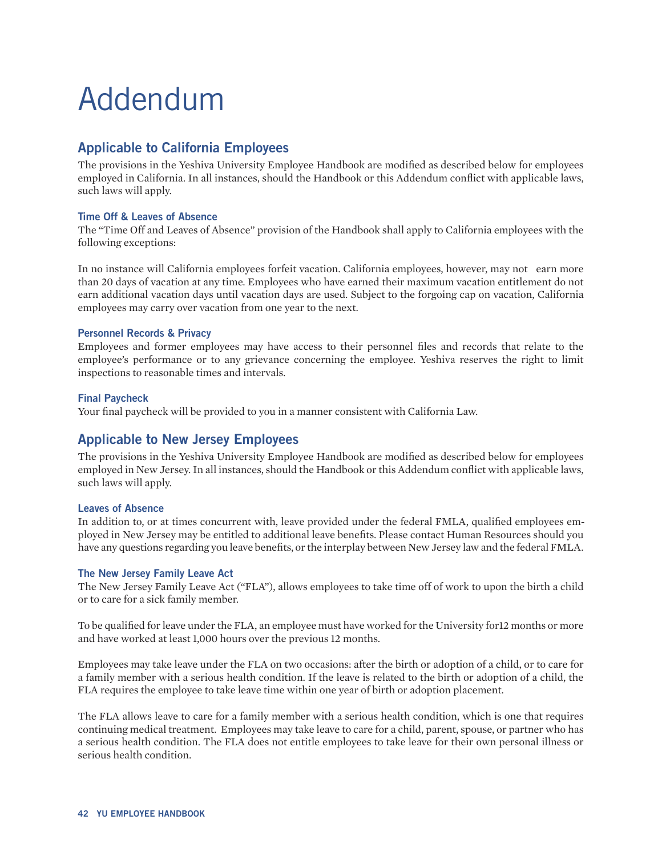# <span id="page-41-0"></span>Addendum

## **Applicable to California Employees**

The provisions in the Yeshiva University Employee Handbook are modified as described below for employees employed in California. In all instances, should the Handbook or this Addendum conflict with applicable laws, such laws will apply.

#### **Time Off & Leaves of Absence**

The "Time Off and Leaves of Absence" provision of the Handbook shall apply to California employees with the following exceptions:

In no instance will California employees forfeit vacation. California employees, however, may not earn more than 20 days of vacation at any time. Employees who have earned their maximum vacation entitlement do not earn additional vacation days until vacation days are used. Subject to the forgoing cap on vacation, California employees may carry over vacation from one year to the next.

#### **Personnel Records & Privacy**

Employees and former employees may have access to their personnel files and records that relate to the employee's performance or to any grievance concerning the employee. Yeshiva reserves the right to limit inspections to reasonable times and intervals.

#### **Final Paycheck**

Your final paycheck will be provided to you in a manner consistent with California Law.

## **Applicable to New Jersey Employees**

The provisions in the Yeshiva University Employee Handbook are modified as described below for employees employed in New Jersey. In all instances, should the Handbook or this Addendum conflict with applicable laws, such laws will apply.

#### **Leaves of Absence**

In addition to, or at times concurrent with, leave provided under the federal FMLA, qualified employees employed in New Jersey may be entitled to additional leave benefits. Please contact Human Resources should you have any questions regarding you leave benefits, or the interplay between New Jersey law and the federal FMLA.

#### **The New Jersey Family Leave Act**

The New Jersey Family Leave Act ("FLA"), allows employees to take time off of work to upon the birth a child or to care for a sick family member.

To be qualified for leave under the FLA, an employee must have worked for the University for12 months or more and have worked at least 1,000 hours over the previous 12 months.

Employees may take leave under the FLA on two occasions: after the birth or adoption of a child, or to care for a family member with a serious health condition. If the leave is related to the birth or adoption of a child, the FLA requires the employee to take leave time within one year of birth or adoption placement.

The FLA allows leave to care for a family member with a serious health condition, which is one that requires continuing medical treatment. Employees may take leave to care for a child, parent, spouse, or partner who has a serious health condition. The FLA does not entitle employees to take leave for their own personal illness or serious health condition.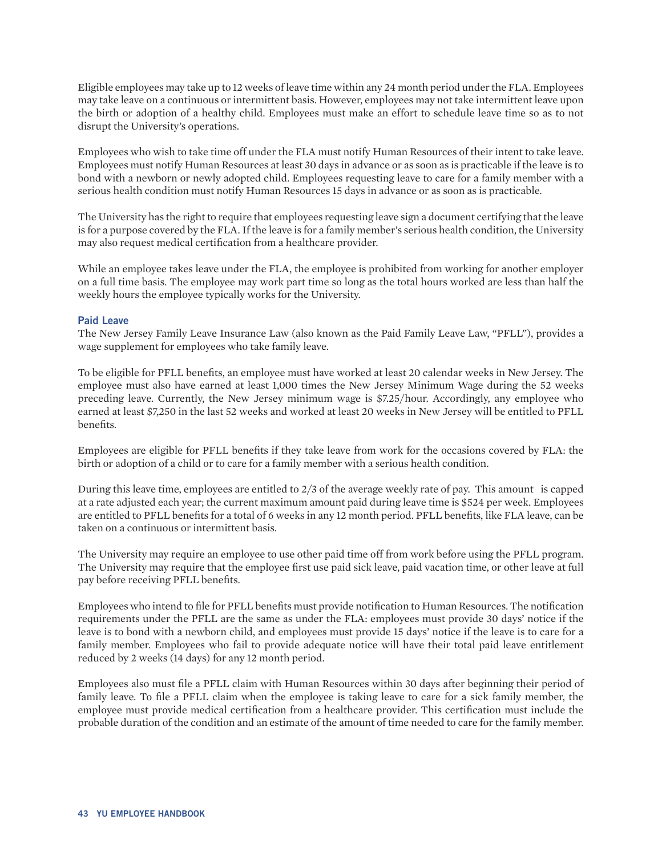Eligible employees may take up to 12 weeks of leave time within any 24 month period under the FLA. Employees may take leave on a continuous or intermittent basis. However, employees may not take intermittent leave upon the birth or adoption of a healthy child. Employees must make an effort to schedule leave time so as to not disrupt the University's operations.

Employees who wish to take time off under the FLA must notify Human Resources of their intent to take leave. Employees must notify Human Resources at least 30 days in advance or as soon as is practicable if the leave is to bond with a newborn or newly adopted child. Employees requesting leave to care for a family member with a serious health condition must notify Human Resources 15 days in advance or as soon as is practicable.

The University has the right to require that employees requesting leave sign a document certifying that the leave is for a purpose covered by the FLA. If the leave is for a family member's serious health condition, the University may also request medical certification from a healthcare provider.

While an employee takes leave under the FLA, the employee is prohibited from working for another employer on a full time basis. The employee may work part time so long as the total hours worked are less than half the weekly hours the employee typically works for the University.

#### **Paid Leave**

The New Jersey Family Leave Insurance Law (also known as the Paid Family Leave Law, "PFLL"), provides a wage supplement for employees who take family leave.

To be eligible for PFLL benefits, an employee must have worked at least 20 calendar weeks in New Jersey. The employee must also have earned at least 1,000 times the New Jersey Minimum Wage during the 52 weeks preceding leave. Currently, the New Jersey minimum wage is \$7.25/hour. Accordingly, any employee who earned at least \$7,250 in the last 52 weeks and worked at least 20 weeks in New Jersey will be entitled to PFLL benefits.

Employees are eligible for PFLL benefits if they take leave from work for the occasions covered by FLA: the birth or adoption of a child or to care for a family member with a serious health condition.

During this leave time, employees are entitled to 2/3 of the average weekly rate of pay. This amount is capped at a rate adjusted each year; the current maximum amount paid during leave time is \$524 per week. Employees are entitled to PFLL benefits for a total of 6 weeks in any 12 month period. PFLL benefits, like FLA leave, can be taken on a continuous or intermittent basis.

The University may require an employee to use other paid time off from work before using the PFLL program. The University may require that the employee first use paid sick leave, paid vacation time, or other leave at full pay before receiving PFLL benefits.

Employees who intend to file for PFLL benefits must provide notification to Human Resources. The notification requirements under the PFLL are the same as under the FLA: employees must provide 30 days' notice if the leave is to bond with a newborn child, and employees must provide 15 days' notice if the leave is to care for a family member. Employees who fail to provide adequate notice will have their total paid leave entitlement reduced by 2 weeks (14 days) for any 12 month period.

Employees also must file a PFLL claim with Human Resources within 30 days after beginning their period of family leave. To file a PFLL claim when the employee is taking leave to care for a sick family member, the employee must provide medical certification from a healthcare provider. This certification must include the probable duration of the condition and an estimate of the amount of time needed to care for the family member.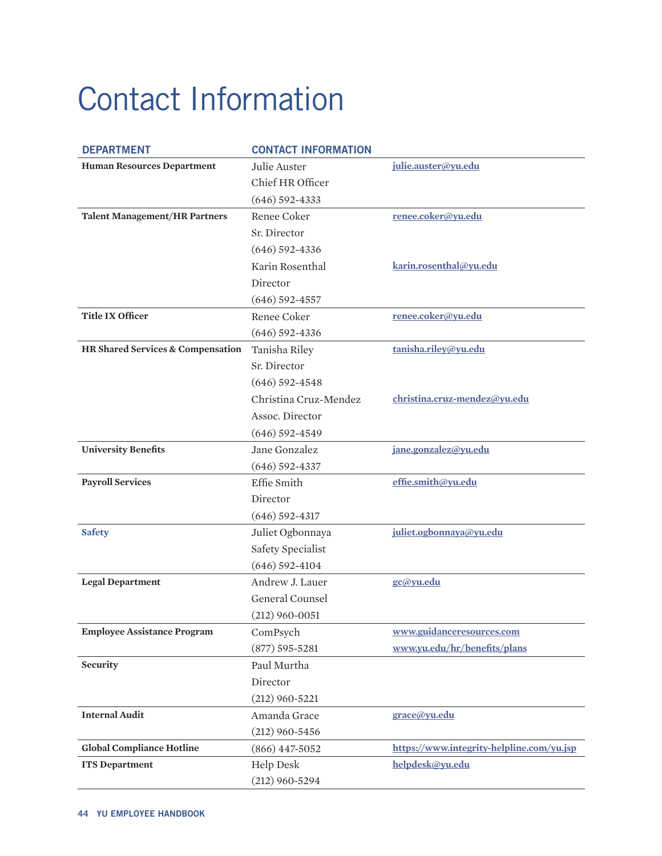# <span id="page-43-0"></span>Contact Information

| <b>DEPARTMENT</b>                    | <b>CONTACT INFORMATION</b> |                                           |
|--------------------------------------|----------------------------|-------------------------------------------|
| <b>Human Resources Department</b>    | Julie Auster               | julie.auster@yu.edu                       |
|                                      | Chief HR Officer           |                                           |
|                                      | $(646)$ 592-4333           |                                           |
| <b>Talent Management/HR Partners</b> | Renee Coker                | renee.coker@yu.edu                        |
|                                      | Sr. Director               |                                           |
|                                      | $(646)$ 592-4336           |                                           |
|                                      | Karin Rosenthal            | karin.rosenthal@yu.edu                    |
|                                      | Director                   |                                           |
|                                      | $(646)$ 592-4557           |                                           |
| <b>Title IX Officer</b>              | Renee Coker                | renee.coker@yu.edu                        |
|                                      | $(646)$ 592-4336           |                                           |
| HR Shared Services & Compensation    | Tanisha Riley              | tanisha.riley@yu.edu                      |
|                                      | Sr. Director               |                                           |
|                                      | $(646)$ 592-4548           |                                           |
|                                      | Christina Cruz-Mendez      | christina.cruz-mendez@yu.edu              |
|                                      | Assoc. Director            |                                           |
|                                      | $(646)$ 592-4549           |                                           |
| <b>University Benefits</b>           | Jane Gonzalez              | jane.gonzalez@yu.edu                      |
|                                      | $(646)$ 592-4337           |                                           |
| <b>Payroll Services</b>              | Effie Smith                | effie.smith@yu.edu                        |
|                                      | Director                   |                                           |
|                                      | $(646)$ 592-4317           |                                           |
| <b>Safety</b>                        | Juliet Ogbonnaya           | juliet.ogbonnaya@yu.edu                   |
|                                      | Safety Specialist          |                                           |
|                                      | $(646)$ 592-4104           |                                           |
| <b>Legal Department</b>              | Andrew J. Lauer            | gc@yu.edu                                 |
|                                      | General Counsel            |                                           |
|                                      | $(212)$ 960-0051           |                                           |
| <b>Employee Assistance Program</b>   | ComPsych                   | www.guidanceresources.com                 |
|                                      | $(877) 595 - 5281$         | www.yu.edu/hr/benefits/plans              |
| Security                             | Paul Murtha                |                                           |
|                                      | Director                   |                                           |
|                                      | $(212)$ 960-5221           |                                           |
| <b>Internal Audit</b>                | Amanda Grace               | grace@yu.edu                              |
|                                      | $(212)$ 960-5456           |                                           |
| <b>Global Compliance Hotline</b>     | $(866)$ 447-5052           | https://www.integrity-helpline.com/yu.jsp |
| <b>ITS Department</b>                | <b>Help Desk</b>           | helpdesk@yu.edu                           |
|                                      | $(212)$ 960-5294           |                                           |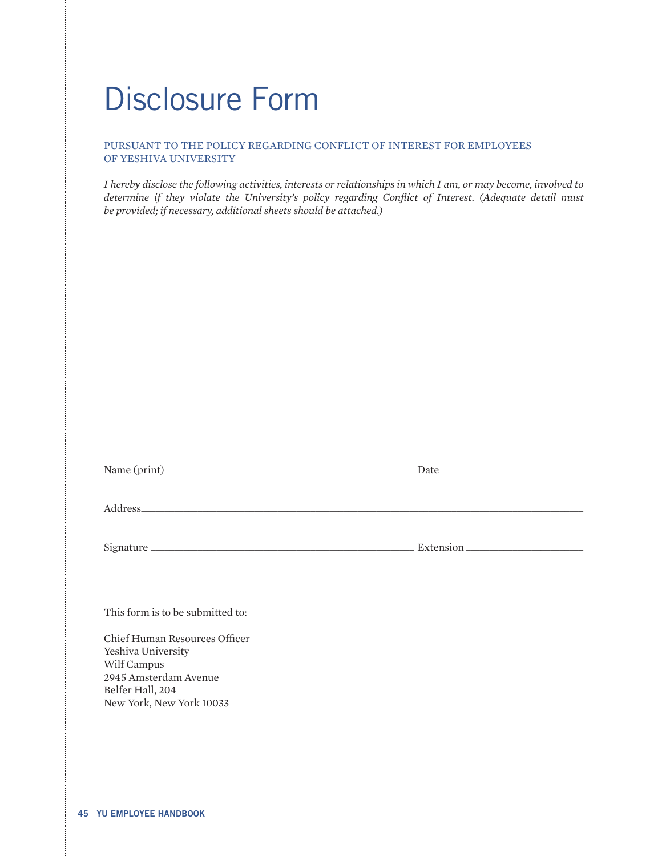# <span id="page-44-0"></span>Disclosure Form

#### PURSUANT TO THE POLICY REGARDING CONFLICT OF INTEREST FOR EMPLOYEES OF YESHIVA UNIVERSITY

*I hereby disclose the following activities, interests or relationships in which I am, or may become, involved to determine if they violate the University's policy regarding Conflict of Interest. (Adequate detail must be provided; if necessary, additional sheets should be attached.)*

| This form is to be submitted to:                                                     |  |
|--------------------------------------------------------------------------------------|--|
| Chief Human Resources Officer<br>Yeshiva University                                  |  |
| Wilf Campus<br>2945 Amsterdam Avenue<br>Belfer Hall, 204<br>New York, New York 10033 |  |
|                                                                                      |  |
|                                                                                      |  |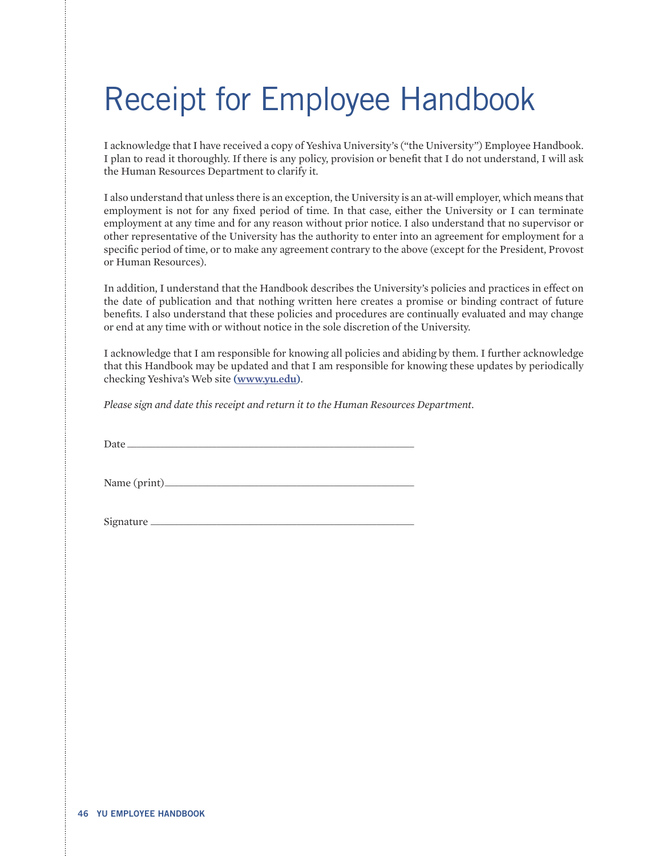# <span id="page-45-0"></span>Receipt for Employee Handbook

I acknowledge that I have received a copy of Yeshiva University's ("the University") Employee Handbook. I plan to read it thoroughly. If there is any policy, provision or benefit that I do not understand, I will ask the Human Resources Department to clarify it.

I also understand that unless there is an exception, the University is an at-will employer, which means that employment is not for any fixed period of time. In that case, either the University or I can terminate employment at any time and for any reason without prior notice. I also understand that no supervisor or other representative of the University has the authority to enter into an agreement for employment for a specific period of time, or to make any agreement contrary to the above (except for the President, Provost or Human Resources).

In addition, I understand that the Handbook describes the University's policies and practices in effect on the date of publication and that nothing written here creates a promise or binding contract of future benefits. I also understand that these policies and procedures are continually evaluated and may change or end at any time with or without notice in the sole discretion of the University.

I acknowledge that I am responsible for knowing all policies and abiding by them. I further acknowledge that this Handbook may be updated and that I am responsible for knowing these updates by periodically checking Yeshiva's Web site **[\(www.yu.edu](https://www.yu.edu/))**.

*Please sign and date this receipt and return it to the Human Resources Department.*

Date \_\_\_\_\_\_\_\_\_\_\_\_\_\_\_\_\_\_\_\_\_\_\_\_\_\_\_\_\_\_\_\_\_\_\_\_\_\_\_\_\_\_\_\_\_\_\_\_\_\_\_\_\_\_\_\_\_\_\_\_\_

Name (print)\_\_\_\_\_\_\_\_\_\_\_\_\_\_\_\_\_\_\_\_\_\_\_\_\_\_\_\_\_\_\_\_\_\_\_\_\_\_\_\_\_\_\_\_\_\_\_\_\_\_\_\_\_

Signature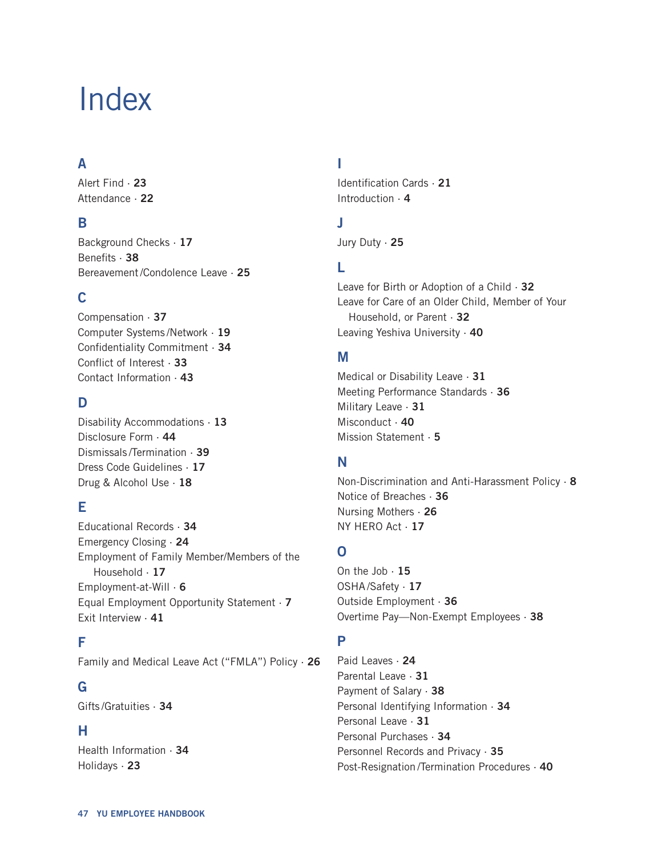# <span id="page-46-0"></span>Index

# **A**

[Alert Find ·](#page-22-0) **23** [Attendance ·](#page-21-0) **22**

## **B**

[Background Checks ·](#page-16-0) **17** [Benefits ·](#page-38-0) **38** [Bereavement/Condolence Leave ·](#page-23-0) **[25](#page-24-0)**

## **C**

[Compensation ·](#page-37-0) **37** [Computer Systems](#page-17-0) /Network · **19** [Confidentiality Commitment ·](#page-33-0) **34** [Conflict of Interest ·](#page-33-0) **33** [Contact Information ·](#page-43-0) **43**

## **D**

[Disability Accommodations ·](#page-12-0) **13** [Disclosure Form ·](#page-44-0) **44** Dismissals [/Termination ·](#page-39-0) **39** [Dress Code Guidelines ·](#page-16-0) **17** [Drug & Alcohol Use ·](#page-17-0) **18**

# **E**

[Educational Records ·](#page-34-0) **34** [Emergency Closing ·](#page-22-0) **24** [Employment of Family Member/Members of the](#page-16-0)  [Household ·](#page-16-0) **17** [Employment-at-Will ·](#page-5-0) **6** [Equal Employment Opportunity Statement ·](#page-6-0) **7** [Exit Interview ·](#page-40-0) **41**

## **F**

[Family and Medical Leave Act \("FMLA"\) Policy ·](#page-25-0) **26**

## **G**

Gifts [/Gratuities ·](#page-33-0) **34**

## **H**

[Health Information ·](#page-34-0) **34** [Holidays ·](#page-22-0) **23**

# **I**

[Identification Cards ·](#page-20-0) **21** [Introduction ·](#page-3-0) **4**

## **J**

[Jury Duty ·](#page-24-0) **25**

# **L**

[Leave for Birth or Adoption of a Child ·](#page-31-0) **32** [Leave for Care of an Older Child, Member of Your](#page-31-0)  [Household, or Parent ·](#page-31-0) **32** [Leaving Yeshiva University ·](#page-39-0) **[40](#page-39-0)**

## **M**

[Medical or Disability Leave ·](#page-30-0) **31** [Meeting Performance Standards ·](#page-36-0) **36** [Military Leave ·](#page-30-0) **31** [Misconduct ·](#page-39-0) **[40](#page-39-0)** [Mission Statement ·](#page-4-0) **5**

## **N**

[Non-Discrimination and Anti-Harassment Policy ·](#page-7-0) **8** [Notice of Breaches ·](#page-35-0) **36** [Nursing Mothers ·](#page-25-0) **26** [NY HERO Act ·](#page-25-0) **17**

# **O**

On the Job  $\cdot$  15 OSHA [/Safety ·](#page-16-0) **17** [Outside Employment ·](#page-36-0) **36** [Overtime Pay—Non-Exempt Employees ·](#page-37-0) **38**

## **P**

[Paid Leaves ·](#page-23-0) **24** [Parental Leave ·](#page-30-0) **31** [Payment of Salary ·](#page-37-0) **38** [Personal Identifying Information ·](#page-34-0) **34** [Personal Leave ·](#page-30-0) **31** [Personal Purchases ·](#page-33-0) **34** [Personnel Records and Privacy ·](#page-34-0) **35** Post-Resignation [/Termination Procedures ·](#page-40-0) **40**